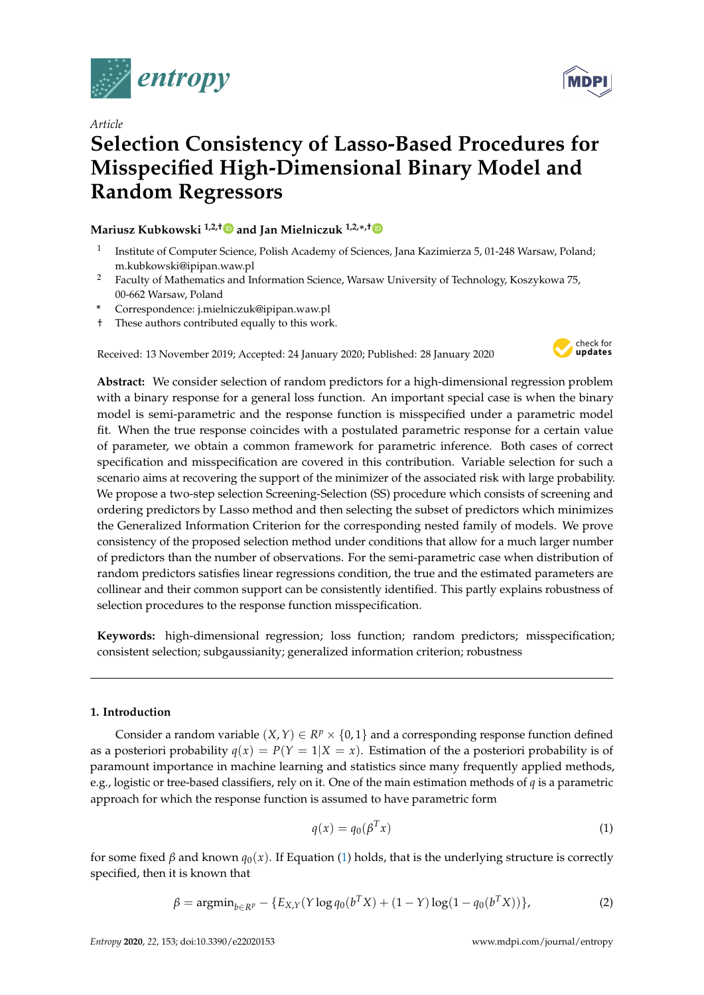

# *Article*

# **Selection Consistency of Lasso-Based Procedures for Misspecified High-Dimensional Binary Model and Random Regressors**

# **Mariusz Kubkowski 1,2,[†](https://orcid.org/0000-0002-1453-5589) and Jan Mielniczuk 1,2,**∗**,[†](https://orcid.org/0000-0003-2621-2303)**

- 1 Institute of Computer Science, Polish Academy of Sciences, Jana Kazimierza 5, 01-248 Warsaw, Poland; m.kubkowski@ipipan.waw.pl
- <sup>2</sup> Faculty of Mathematics and Information Science, Warsaw University of Technology, Koszykowa 75, 00-662 Warsaw, Poland
- **\*** Correspondence: j.mielniczuk@ipipan.waw.pl
- † These authors contributed equally to this work.

Received: 13 November 2019; Accepted: 24 January 2020; Published: 28 January 2020



**Abstract:** We consider selection of random predictors for a high-dimensional regression problem with a binary response for a general loss function. An important special case is when the binary model is semi-parametric and the response function is misspecified under a parametric model fit. When the true response coincides with a postulated parametric response for a certain value of parameter, we obtain a common framework for parametric inference. Both cases of correct specification and misspecification are covered in this contribution. Variable selection for such a scenario aims at recovering the support of the minimizer of the associated risk with large probability. We propose a two-step selection Screening-Selection (SS) procedure which consists of screening and ordering predictors by Lasso method and then selecting the subset of predictors which minimizes the Generalized Information Criterion for the corresponding nested family of models. We prove consistency of the proposed selection method under conditions that allow for a much larger number of predictors than the number of observations. For the semi-parametric case when distribution of random predictors satisfies linear regressions condition, the true and the estimated parameters are collinear and their common support can be consistently identified. This partly explains robustness of selection procedures to the response function misspecification.

**Keywords:** high-dimensional regression; loss function; random predictors; misspecification; consistent selection; subgaussianity; generalized information criterion; robustness

## **1. Introduction**

Consider a random variable  $(X, Y) \in R^p \times \{0, 1\}$  and a corresponding response function defined as a posteriori probability  $q(x) = P(Y = 1 | X = x)$ . Estimation of the a posteriori probability is of paramount importance in machine learning and statistics since many frequently applied methods, e.g., logistic or tree-based classifiers, rely on it. One of the main estimation methods of *q* is a parametric approach for which the response function is assumed to have parametric form

<span id="page-0-0"></span>
$$
q(x) = q_0(\beta^T x) \tag{1}
$$

for some fixed  $\beta$  and known  $q_0(x)$ . If Equation [\(1\)](#page-0-0) holds, that is the underlying structure is correctly specified, then it is known that

<span id="page-0-1"></span>
$$
\beta = \operatorname{argmin}_{b \in R^p} - \{E_{X,Y}(Y \log q_0(b^T X) + (1 - Y) \log(1 - q_0(b^T X))\},\tag{2}
$$

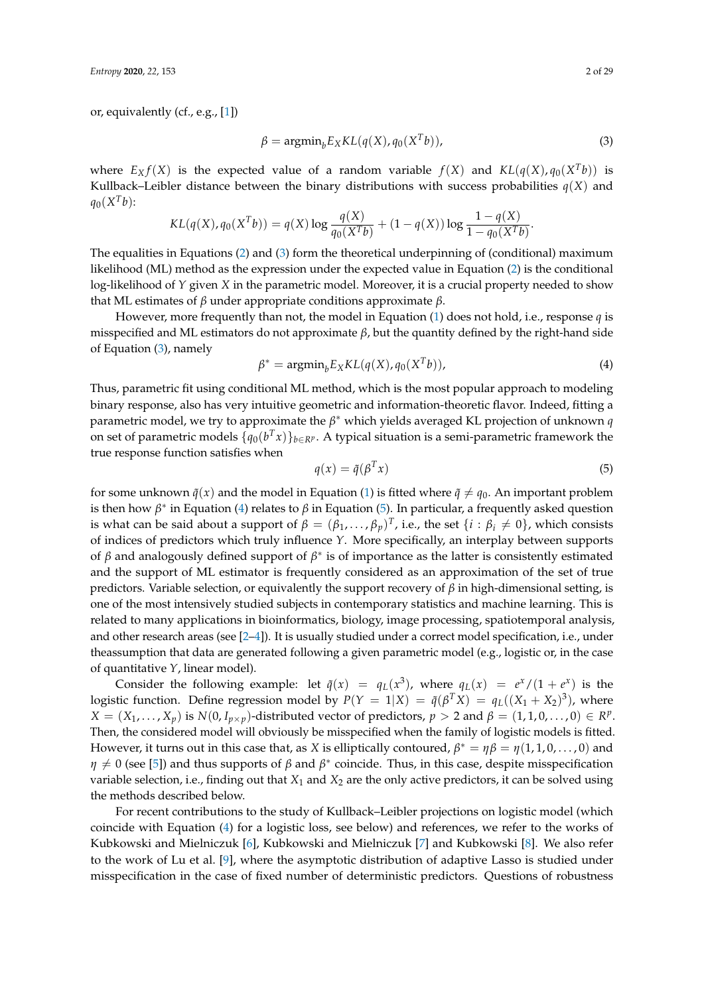or, equivalently (cf., e.g., [\[1\]](#page-26-0))

<span id="page-1-0"></span>
$$
\beta = \operatorname{argmin}_{b} E_X KL(q(X), q_0(X^T b)), \tag{3}
$$

where  $E_X f(X)$  is the expected value of a random variable  $f(X)$  and  $KL(q(X), q_0(X^Tb))$  is Kullback–Leibler distance between the binary distributions with success probabilities  $q(X)$  and  $q_0(X^T b)$ :

$$
KL(q(X), q_0(X^T b)) = q(X) \log \frac{q(X)}{q_0(X^T b)} + (1 - q(X)) \log \frac{1 - q(X)}{1 - q_0(X^T b)}.
$$

The equalities in Equations [\(2\)](#page-0-1) and [\(3\)](#page-1-0) form the theoretical underpinning of (conditional) maximum likelihood (ML) method as the expression under the expected value in Equation [\(2\)](#page-0-1) is the conditional log-likelihood of *Y* given *X* in the parametric model. Moreover, it is a crucial property needed to show that ML estimates of *β* under appropriate conditions approximate *β*.

However, more frequently than not, the model in Equation [\(1\)](#page-0-0) does not hold, i.e., response *q* is misspecified and ML estimators do not approximate *β*, but the quantity defined by the right-hand side of Equation [\(3\)](#page-1-0), namely

<span id="page-1-1"></span>
$$
\beta^* = \operatorname{argmin}_{b} E_X KL(q(X), q_0(X^T b)), \tag{4}
$$

Thus, parametric fit using conditional ML method, which is the most popular approach to modeling binary response, also has very intuitive geometric and information-theoretic flavor. Indeed, fitting a parametric model, we try to approximate the *β* <sup>∗</sup> which yields averaged KL projection of unknown *q* on set of parametric models  $\{q_0(b^T x)\}_{b \in R^p}$ . A typical situation is a semi-parametric framework the true response function satisfies when

<span id="page-1-2"></span>
$$
q(x) = \tilde{q}(\beta^T x) \tag{5}
$$

for some unknown  $\tilde{q}(x)$  and the model in Equation [\(1\)](#page-0-0) is fitted where  $\tilde{q} \neq q_0$ . An important problem is then how  $\beta^*$  in Equation [\(4\)](#page-1-1) relates to  $\beta$  in Equation [\(5\)](#page-1-2). In particular, a frequently asked question is what can be said about a support of  $\beta = (\beta_1, \ldots, \beta_p)^T$ , i.e., the set  $\{i : \beta_i \neq 0\}$ , which consists of indices of predictors which truly influence *Y*. More specifically, an interplay between supports of *β* and analogously defined support of  $\beta^*$  is of importance as the latter is consistently estimated and the support of ML estimator is frequently considered as an approximation of the set of true predictors. Variable selection, or equivalently the support recovery of *β* in high-dimensional setting, is one of the most intensively studied subjects in contemporary statistics and machine learning. This is related to many applications in bioinformatics, biology, image processing, spatiotemporal analysis, and other research areas (see [\[2](#page-26-1)[–4\]](#page-26-2)). It is usually studied under a correct model specification, i.e., under theassumption that data are generated following a given parametric model (e.g., logistic or, in the case of quantitative *Y*, linear model).

Consider the following example: let  $\tilde{q}(x) = q_L(x^3)$ , where  $q_L(x) = e^x/(1 + e^x)$  is the logistic function. Define regression model by  $P(Y = 1|X) = \tilde{q}(\beta^T X) = q_L((X_1 + X_2)^3)$ , where  $X = (X_1, \ldots, X_p)$  is  $N(0, I_{p \times p})$ -distributed vector of predictors,  $p > 2$  and  $\beta = (1, 1, 0, \ldots, 0) \in R^p$ . Then, the considered model will obviously be misspecified when the family of logistic models is fitted. However, it turns out in this case that, as *X* is elliptically contoured,  $\beta^* = \eta \beta = \eta(1,1,0,\ldots,0)$  and  $\eta \neq 0$  (see [\[5\]](#page-27-0)) and thus supports of  $\beta$  and  $\beta^*$  coincide. Thus, in this case, despite misspecification variable selection, i.e., finding out that  $X_1$  and  $X_2$  are the only active predictors, it can be solved using the methods described below.

For recent contributions to the study of Kullback–Leibler projections on logistic model (which coincide with Equation [\(4\)](#page-1-1) for a logistic loss, see below) and references, we refer to the works of Kubkowski and Mielniczuk [\[6\]](#page-27-1), Kubkowski and Mielniczuk [\[7\]](#page-27-2) and Kubkowski [\[8\]](#page-27-3). We also refer to the work of Lu et al. [\[9\]](#page-27-4), where the asymptotic distribution of adaptive Lasso is studied under misspecification in the case of fixed number of deterministic predictors. Questions of robustness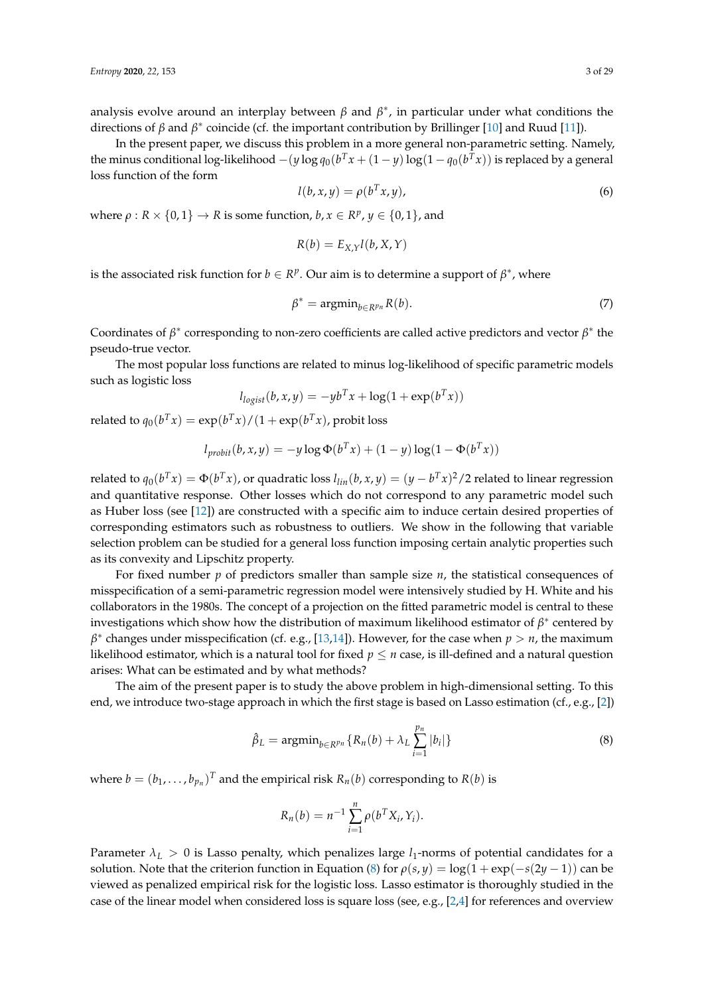analysis evolve around an interplay between  $\beta$  and  $\beta^*$ , in particular under what conditions the directions of *β* and *β*<sup>\*</sup> coincide (cf. the important contribution by Brillinger [\[10\]](#page-27-5) and Ruud [\[11\]](#page-27-6)).

In the present paper, we discuss this problem in a more general non-parametric setting. Namely, the minus conditional log-likelihood  $-(y \log q_0(b^T x + (1-y) \log(1 - q_0(b^T x))$  is replaced by a general loss function of the form

$$
l(b, x, y) = \rho(b^T x, y), \tag{6}
$$

where  $\rho: R \times \{0,1\} \to R$  is some function,  $b, x \in R^p, y \in \{0,1\}$ , and

$$
R(b) = E_{X,Y}l(b, X, Y)
$$

is the associated risk function for  $b \in R^p$ . Our aim is to determine a support of  $\beta^*$ , where

<span id="page-2-1"></span>
$$
\beta^* = \operatorname{argmin}_{b \in R^{p_n}} R(b). \tag{7}
$$

Coordinates of  $\beta^*$  corresponding to non-zero coefficients are called active predictors and vector  $\beta^*$  the pseudo-true vector.

The most popular loss functions are related to minus log-likelihood of specific parametric models such as logistic loss

$$
l_{logist}(b, x, y) = -yb^{T}x + log(1 + exp(b^{T}x))
$$

related to  $q_0(b^T x) = \exp(b^T x)/(1 + \exp(b^T x)$ , probit loss

$$
l_{probit}(b, x, y) = -y \log \Phi(b^T x) + (1 - y) \log(1 - \Phi(b^T x))
$$

related to  $q_0(b^Tx) = \Phi(b^Tx)$ , or quadratic loss  $l_{lin}(b,x,y) = (y - b^Tx)^2/2$  related to linear regression and quantitative response. Other losses which do not correspond to any parametric model such as Huber loss (see [\[12\]](#page-27-7)) are constructed with a specific aim to induce certain desired properties of corresponding estimators such as robustness to outliers. We show in the following that variable selection problem can be studied for a general loss function imposing certain analytic properties such as its convexity and Lipschitz property.

For fixed number *p* of predictors smaller than sample size *n*, the statistical consequences of misspecification of a semi-parametric regression model were intensively studied by H. White and his collaborators in the 1980s. The concept of a projection on the fitted parametric model is central to these investigations which show how the distribution of maximum likelihood estimator of  $\beta^*$  centered by *β* ∗ changes under misspecification (cf. e.g., [\[13](#page-27-8)[,14\]](#page-27-9)). However, for the case when *p* > *n*, the maximum likelihood estimator, which is a natural tool for fixed  $p \le n$  case, is ill-defined and a natural question arises: What can be estimated and by what methods?

The aim of the present paper is to study the above problem in high-dimensional setting. To this end, we introduce two-stage approach in which the first stage is based on Lasso estimation (cf., e.g., [\[2\]](#page-26-1))

<span id="page-2-0"></span>
$$
\hat{\beta}_L = \operatorname{argmin}_{b \in R^{pn}} \{ R_n(b) + \lambda_L \sum_{i=1}^{p_n} |b_i| \}
$$
\n(8)

where  $b = (b_1, \ldots, b_{p_n})^T$  and the empirical risk  $R_n(b)$  corresponding to  $R(b)$  is

$$
R_n(b) = n^{-1} \sum_{i=1}^n \rho(b^T X_i, Y_i).
$$

Parameter  $\lambda_L > 0$  is Lasso penalty, which penalizes large  $l_1$ -norms of potential candidates for a solution. Note that the criterion function in Equation [\(8\)](#page-2-0) for  $\rho(s, y) = \log(1 + \exp(-s(2y - 1))$  can be viewed as penalized empirical risk for the logistic loss. Lasso estimator is thoroughly studied in the case of the linear model when considered loss is square loss (see, e.g., [\[2,](#page-26-1)[4\]](#page-26-2) for references and overview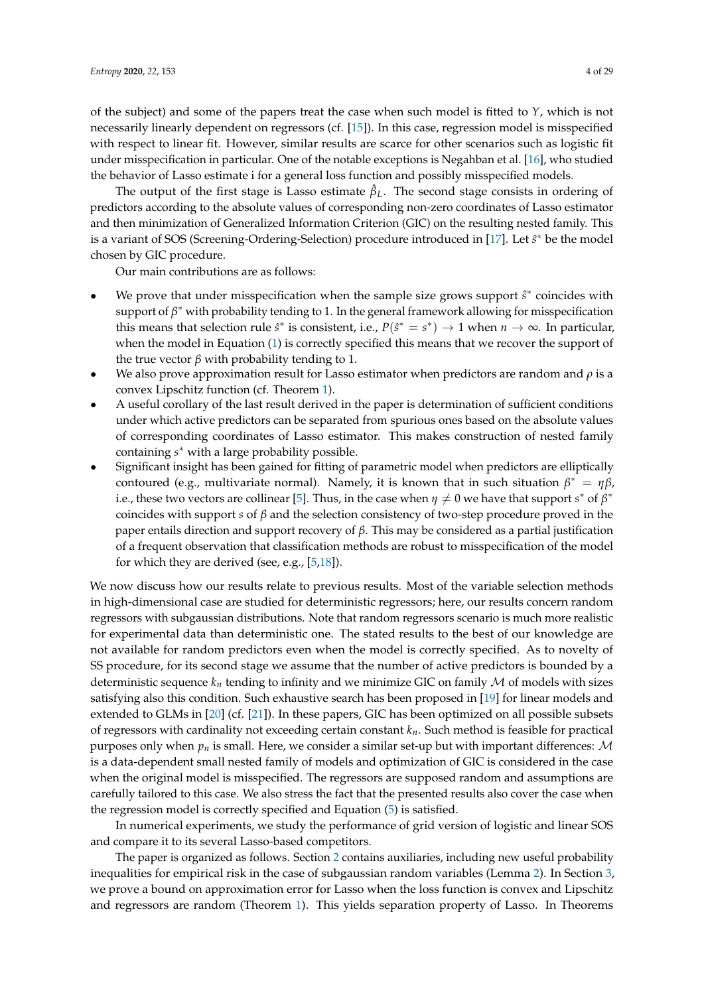of the subject) and some of the papers treat the case when such model is fitted to *Y*, which is not necessarily linearly dependent on regressors (cf. [\[15\]](#page-27-10)). In this case, regression model is misspecified with respect to linear fit. However, similar results are scarce for other scenarios such as logistic fit under misspecification in particular. One of the notable exceptions is Negahban et al. [\[16\]](#page-27-11), who studied the behavior of Lasso estimate i for a general loss function and possibly misspecified models.

The output of the first stage is Lasso estimate *β*ˆ *<sup>L</sup>*. The second stage consists in ordering of predictors according to the absolute values of corresponding non-zero coordinates of Lasso estimator and then minimization of Generalized Information Criterion (GIC) on the resulting nested family. This is a variant of SOS (Screening-Ordering-Selection) procedure introduced in [\[17\]](#page-27-12). Let  $\hat{s}^*$  be the model chosen by GIC procedure.

Our main contributions are as follows:

- We prove that under misspecification when the sample size grows support  $\hat{s}^*$  coincides with support of *β* <sup>∗</sup> with probability tending to 1. In the general framework allowing for misspecification this means that selection rule  $\hat{s}^*$  is consistent, i.e.,  $P(\hat{s}^* = s^*) \to 1$  when  $n \to \infty$ . In particular, when the model in Equation [\(1\)](#page-0-0) is correctly specified this means that we recover the support of the true vector *β* with probability tending to 1.
- We also prove approximation result for Lasso estimator when predictors are random and *ρ* is a convex Lipschitz function (cf. Theorem [1\)](#page-8-0).
- A useful corollary of the last result derived in the paper is determination of sufficient conditions under which active predictors can be separated from spurious ones based on the absolute values of corresponding coordinates of Lasso estimator. This makes construction of nested family containing *s* <sup>∗</sup> with a large probability possible.
- Significant insight has been gained for fitting of parametric model when predictors are elliptically contoured (e.g., multivariate normal). Namely, it is known that in such situation  $β^* = ηβ$ , i.e., these two vectors are collinear [\[5\]](#page-27-0). Thus, in the case when  $\eta \neq 0$  we have that support  $s^*$  of  $\beta^*$ coincides with support *s* of *β* and the selection consistency of two-step procedure proved in the paper entails direction and support recovery of *β*. This may be considered as a partial justification of a frequent observation that classification methods are robust to misspecification of the model for which they are derived (see, e.g., [\[5,](#page-27-0)[18\]](#page-27-13)).

We now discuss how our results relate to previous results. Most of the variable selection methods in high-dimensional case are studied for deterministic regressors; here, our results concern random regressors with subgaussian distributions. Note that random regressors scenario is much more realistic for experimental data than deterministic one. The stated results to the best of our knowledge are not available for random predictors even when the model is correctly specified. As to novelty of SS procedure, for its second stage we assume that the number of active predictors is bounded by a deterministic sequence  $k_n$  tending to infinity and we minimize GIC on family  $M$  of models with sizes satisfying also this condition. Such exhaustive search has been proposed in [\[19\]](#page-27-14) for linear models and extended to GLMs in [\[20\]](#page-27-15) (cf. [\[21\]](#page-27-16)). In these papers, GIC has been optimized on all possible subsets of regressors with cardinality not exceeding certain constant *kn*. Such method is feasible for practical purposes only when  $p_n$  is small. Here, we consider a similar set-up but with important differences:  $\mathcal M$ is a data-dependent small nested family of models and optimization of GIC is considered in the case when the original model is misspecified. The regressors are supposed random and assumptions are carefully tailored to this case. We also stress the fact that the presented results also cover the case when the regression model is correctly specified and Equation [\(5\)](#page-1-2) is satisfied.

In numerical experiments, we study the performance of grid version of logistic and linear SOS and compare it to its several Lasso-based competitors.

The paper is organized as follows. Section [2](#page-4-0) contains auxiliaries, including new useful probability inequalities for empirical risk in the case of subgaussian random variables (Lemma [2\)](#page-7-0). In Section [3,](#page-7-1) we prove a bound on approximation error for Lasso when the loss function is convex and Lipschitz and regressors are random (Theorem [1\)](#page-8-0). This yields separation property of Lasso. In Theorems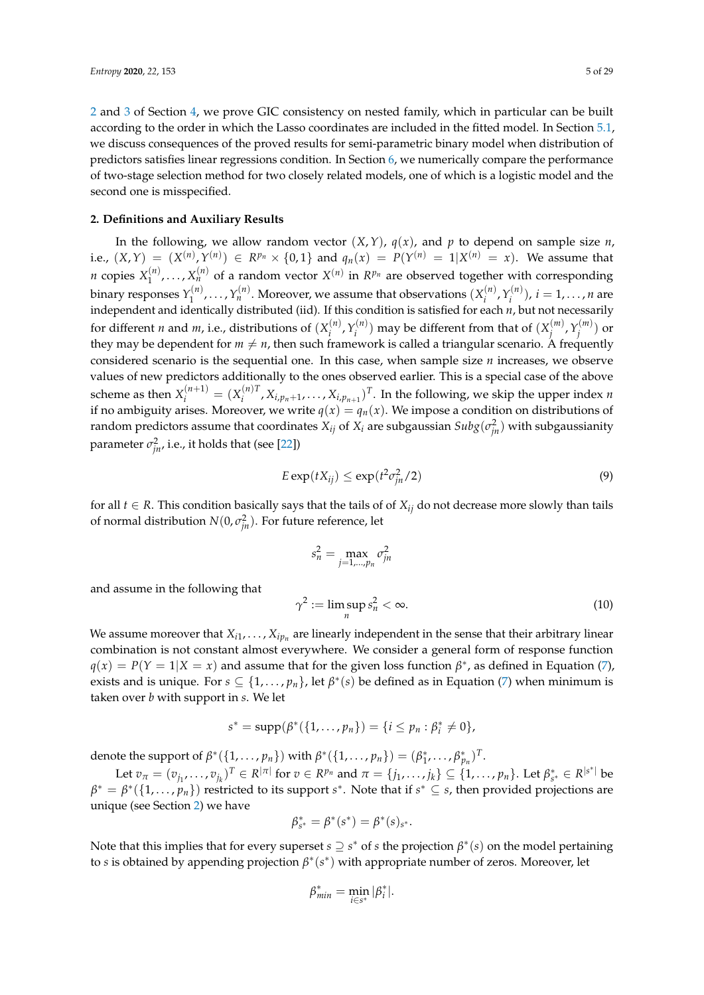[2](#page-9-0) and [3](#page-11-0) of Section [4,](#page-9-1) we prove GIC consistency on nested family, which in particular can be built according to the order in which the Lasso coordinates are included in the fitted model. In Section [5.1,](#page-14-0) we discuss consequences of the proved results for semi-parametric binary model when distribution of predictors satisfies linear regressions condition. In Section [6,](#page-15-0) we numerically compare the performance of two-stage selection method for two closely related models, one of which is a logistic model and the second one is misspecified.

## <span id="page-4-0"></span>**2. Definitions and Auxiliary Results**

and assume in the following that

In the following, we allow random vector  $(X, Y)$ ,  $q(x)$ , and  $p$  to depend on sample size  $n$ , i.e.,  $(X, Y) = (X^{(n)}, Y^{(n)}) \in R^{p_n} \times \{0, 1\}$  and  $q_n(x) = P(Y^{(n)} = 1 | X^{(n)} = x)$ . We assume that *n* copies  $X_1^{(n)}$  $X_1^{(n)}$ , ...,  $X_n^{(n)}$  of a random vector  $X^{(n)}$  in  $R^{p_n}$  are observed together with corresponding binary responses  $Y_1^{(n)}$  $Y_1^{(n)}, \ldots, Y_n^{(n)}.$  Moreover, we assume that observations  $(X_i^{(n)})$  $Y_i^{(n)}$ ,  $Y_i^{(n)}$  $(i^{(n)}_i)$ ,  $i = 1, ..., n$  are independent and identically distributed (iid). If this condition is satisfied for each *n*, but not necessarily for different *n* and *m*, i.e., distributions of  $(X_i^{(n)})$  $\gamma_i^{(n)}$ ,  $\gamma_i^{(n)}$  $\mathcal{X}^{(n)}_i)$  may be different from that of  $(X^{(m)}_j)$ *j* ,*Y* (*m*)  $\binom{m}{j}$  or they may be dependent for  $m \neq n$ , then such framework is called a triangular scenario. A frequently considered scenario is the sequential one. In this case, when sample size *n* increases, we observe values of new predictors additionally to the ones observed earlier. This is a special case of the above scheme as then  $X_i^{(n+1)} = (X_i^{(n)T})$  $X_{i,p_{n}+1}, \ldots, X_{i,p_{n+1}})^T$ . In the following, we skip the upper index *n* if no ambiguity arises. Moreover, we write  $q(x) = q_n(x)$ . We impose a condition on distributions of random predictors assume that coordinates  $X_{ij}$  of  $X_i$  are subgaussian  $Subg(\sigma_{jn}^2)$  with subgaussianity parameter  $\sigma_{jn}^2$ , i.e., it holds that (see [\[22\]](#page-27-17))

$$
E \exp(tX_{ij}) \le \exp(t^2 \sigma_{jn}^2/2)
$$
\n(9)

for all  $t \in R$ . This condition basically says that the tails of of  $X_{ij}$  do not decrease more slowly than tails of normal distribution  $N(0, \sigma_{jn}^2)$ . For future reference, let

<span id="page-4-1"></span>
$$
s_n^2 = \max_{j=1,\dots,p_n} \sigma_{jn}^2
$$
  

$$
\gamma^2 := \limsup_n s_n^2 < \infty.
$$
 (10)

We assume moreover that  $X_{i1},\ldots,X_{ip_n}$  are linearly independent in the sense that their arbitrary linear combination is not constant almost everywhere. We consider a general form of response function  $q(x) = P(Y = 1 | X = x)$  and assume that for the given loss function  $\beta^*$ , as defined in Equation [\(7\)](#page-2-1), exists and is unique. For  $s \subseteq \{1, \ldots, p_n\}$ , let  $\beta^*(s)$  be defined as in Equation [\(7\)](#page-2-1) when minimum is taken over *b* with support in *s*. We let

$$
s^* = \mathrm{supp}(\beta^*(\{1,\ldots,p_n\}) = \{i \leq p_n : \beta_i^* \neq 0\},\
$$

denote the support of  $\beta^*({1,\ldots,p_n})$  with  $\beta^*({1,\ldots,p_n}) = (\beta^*_1, \ldots, \beta^*_{p_n})^T$ .

Let  $v_{\pi} = (v_{j_1}, \ldots, v_{j_k})^T \in R^{|\pi|}$  for  $v \in R^{p_n}$  and  $\pi = \{j_1, \ldots, j_k\} \subseteq \{1, \ldots, p_n\}$ . Let  $\beta_{s^*}^* \in R^{|s^*|}$  be  $\beta^* = \beta^*(\{1,\ldots,p_n\})$  restricted to its support  $s^*$ . Note that if  $s^* \subseteq s$ , then provided projections are unique (see Section [2\)](#page-4-0) we have

$$
\beta_{s^*}^* = \beta^*(s^*) = \beta^*(s)_{s^*}.
$$

Note that this implies that for every superset *s* ⊇ *s* <sup>∗</sup> of *s* the projection *β* ∗ (*s*) on the model pertaining to *s* is obtained by appending projection *β* ∗ (*s* ∗ ) with appropriate number of zeros. Moreover, let

$$
\beta^*_{min} = \min_{i \in s^*} |\beta^*_i|.
$$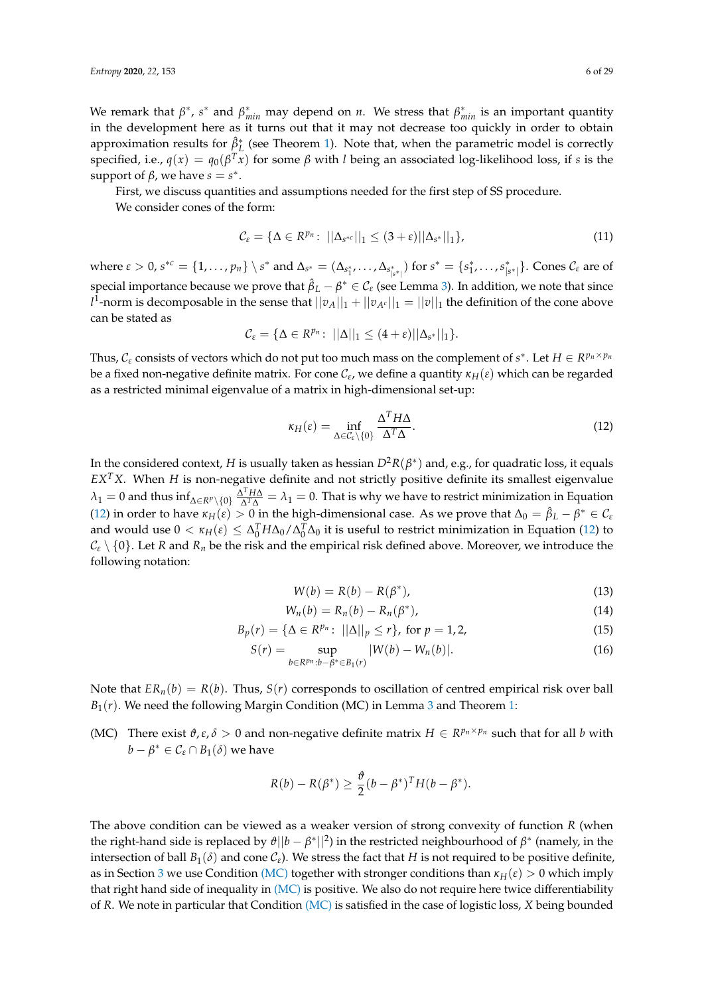We remark that  $\beta^*$ ,  $s^*$  and  $\beta^*_{min}$  may depend on *n*. We stress that  $\beta^*_{min}$  is an important quantity in the development here as it turns out that it may not decrease too quickly in order to obtain approximation results for  $\hat{\beta}^*_{L}$  (see Theorem [1\)](#page-8-0). Note that, when the parametric model is correctly specified, i.e.,  $q(x) = q_0(\beta^T x)$  for some  $\beta$  with *l* being an associated log-likelihood loss, if *s* is the support of  $\beta$ , we have  $s = s^*$ .

First, we discuss quantities and assumptions needed for the first step of SS procedure.

We consider cones of the form:

$$
\mathcal{C}_{\varepsilon} = \{ \Delta \in R^{p_n} \colon \, ||\Delta_{s^{*c}}||_1 \le (3 + \varepsilon) ||\Delta_{s^*}||_1 \},\tag{11}
$$

where  $\varepsilon > 0$ ,  $s^{*c} = \{1, \ldots, p_n\} \setminus s^*$  and  $\Delta_{s^*} = (\Delta_{s_1^*}, \ldots, \Delta_{s_{|s^*|}^*})$  for  $s^* = \{s_1^*, \ldots, s_{|s^*|}^*\}$ . Cones  $\mathcal{C}_{\varepsilon}$  are of special importance because we prove that  $\hat{\beta}_L - \beta^* \in \mathcal{C}_\varepsilon$  (see Lemma [3\)](#page-8-1). In addition, we note that since  $l^1$ -norm is decomposable in the sense that  $||v_A||_1 + ||v_{A^c}||_1 = ||v||_1$  the definition of the cone above can be stated as

$$
\mathcal{C}_{\varepsilon} = \{ \Delta \in R^{p_n} \colon ||\Delta||_1 \leq (4+\varepsilon)||\Delta_{s^*}||_1 \}.
$$

Thus,  $C_{\varepsilon}$  consists of vectors which do not put too much mass on the complement of  $s^*$ . Let  $H \in R^{p_n \times p_n}$ be a fixed non-negative definite matrix. For cone C*<sup>ε</sup>* , we define a quantity *κH*(*ε*) which can be regarded as a restricted minimal eigenvalue of a matrix in high-dimensional set-up:

<span id="page-5-0"></span>
$$
\kappa_H(\varepsilon) = \inf_{\Delta \in \mathcal{C}_{\varepsilon} \setminus \{0\}} \frac{\Delta^T H \Delta}{\Delta^T \Delta}.
$$
\n(12)

In the considered context*, H* is usually taken as hessian  $D^2R(\beta^*)$  and, e.g., for quadratic loss, it equals *EXTX*. When *H* is non-negative definite and not strictly positive definite its smallest eigenvalue  $\lambda_1 = 0$  and thus  $\inf_{\Delta \in R^p \setminus \{0\}} \frac{\Delta^T H \Delta}{\Delta^T \Delta}$  $\frac{\Delta^T H \Delta}{\Delta^T \Delta} = \lambda_1 = 0$ . That is why we have to restrict minimization in Equation [\(12\)](#page-5-0) in order to have  $\kappa_H(\varepsilon) > 0$  in the high-dimensional case. As we prove that  $\Delta_0 = \hat{\beta}_L - \beta^* \in C_{\varepsilon}$ and would use  $0 < \kappa_H(\varepsilon) \leq \Delta_0^T H \Delta_0 / \Delta_0^T \Delta_0$  it is useful to restrict minimization in Equation [\(12\)](#page-5-0) to  $C_{\varepsilon} \setminus \{0\}$ . Let *R* and *R*<sub>*n*</sub> be the risk and the empirical risk defined above. Moreover, we introduce the following notation:

<span id="page-5-2"></span>
$$
W(b) = R(b) - R(\beta^*), \tag{13}
$$

$$
W_n(b) = R_n(b) - R_n(\beta^*), \qquad (14)
$$

$$
B_p(r) = \{ \Delta \in R^{p_n} \colon ||\Delta||_p \le r \}, \text{ for } p = 1, 2,
$$
 (15)

$$
S(r) = \sup_{b \in R^{p_n}: b - \beta^* \in B_1(r)} |W(b) - W_n(b)|.
$$
 (16)

Note that  $ER_n(b) = R(b)$ . Thus,  $S(r)$  corresponds to oscillation of centred empirical risk over ball  $B_1(r)$ . We need the following Margin Condition (MC) in Lemma [3](#page-8-1) and Theorem [1:](#page-8-0)

<span id="page-5-1"></span>(MC) There exist  $\vartheta$ ,  $\varepsilon$ ,  $\delta > 0$  and non-negative definite matrix  $H \in R^{p_n \times p_n}$  such that for all *b* with  $b - \beta^* \in C_{\varepsilon} \cap B_1(\delta)$  we have

$$
R(b) - R(\beta^*) \geq \frac{\vartheta}{2} (b - \beta^*)^T H(b - \beta^*).
$$

The above condition can be viewed as a weaker version of strong convexity of function *R* (when the right-hand side is replaced by  $\vartheta||b - \beta^*||^2$ ) in the restricted neighbourhood of  $\beta^*$  (namely, in the intersection of ball  $B_1(\delta)$  and cone  $C_\varepsilon$ ). We stress the fact that *H* is not required to be positive definite, as in Section [3](#page-7-1) we use Condition [\(MC\)](#page-5-1) together with stronger conditions than  $\kappa$ <sub>*H*</sub>( $\varepsilon$ ) > 0 which imply that right hand side of inequality in  $(MC)$  is positive. We also do not require here twice differentiability of *R*. We note in particular that Condition [\(MC\)](#page-5-1) is satisfied in the case of logistic loss, *X* being bounded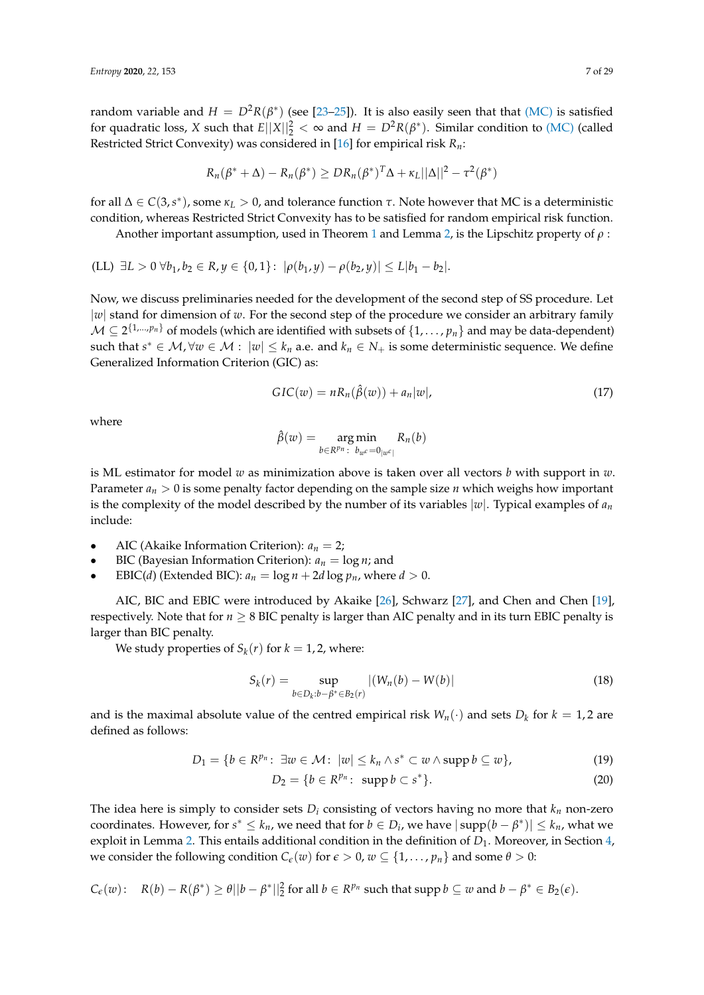random variable and  $H = D^2R(\beta^*)$  (see [\[23–](#page-27-18)[25\]](#page-27-19)). It is also easily seen that that [\(MC\)](#page-5-1) is satisfied for quadratic loss, *X* such that  $E||X||_2^2 < \infty$  and  $H = D^2R(\beta^*)$ . Similar condition to [\(MC\)](#page-5-1) (called Restricted Strict Convexity) was considered in [\[16\]](#page-27-11) for empirical risk *Rn*:

$$
R_n(\beta^* + \Delta) - R_n(\beta^*) \geq D R_n(\beta^*)^T \Delta + \kappa_L ||\Delta||^2 - \tau^2(\beta^*)
$$

for all ∆ ∈ *C*(3,*s* ∗ ), some *κ<sup>L</sup>* > 0, and tolerance function *τ*. Note however that MC is a deterministic condition, whereas Restricted Strict Convexity has to be satisfied for random empirical risk function.

Another important assumption, used in Theorem [1](#page-8-0) and Lemma [2,](#page-7-0) is the Lipschitz property of *ρ* :

<span id="page-6-1"></span>
$$
(LL) \ \exists L > 0 \ \forall b_1, b_2 \in R, y \in \{0, 1\}: \ |\rho(b_1, y) - \rho(b_2, y)| \le L|b_1 - b_2|.
$$

Now, we discuss preliminaries needed for the development of the second step of SS procedure. Let |*w*| stand for dimension of *w*. For the second step of the procedure we consider an arbitrary family  $\mathcal{M} \subseteq 2^{\{1,...,p_n\}}$  of models (which are identified with subsets of  $\{1,\ldots,p_n\}$  and may be data-dependent) such that  $s^* \in M$ ,  $\forall w \in M : |w| \leq k_n$  a.e. and  $k_n \in N_+$  is some deterministic sequence. We define Generalized Information Criterion (GIC) as:

$$
GIC(w) = nR_n(\hat{\beta}(w)) + a_n|w|,
$$
\n(17)

where

$$
\hat{\beta}(w) = \underset{b \in R^{p_n}: b_{w^c} = 0_{|w^c|}}{\arg \min} R_n(b)
$$

is ML estimator for model *w* as minimization above is taken over all vectors *b* with support in *w*. Parameter  $a_n > 0$  is some penalty factor depending on the sample size *n* which weighs how important is the complexity of the model described by the number of its variables  $|w|$ . Typical examples of  $a_n$ include:

- AIC (Akaike Information Criterion):  $a_n = 2$ ;
- BIC (Bayesian Information Criterion):  $a_n = \log n$ ; and
- EBIC(*d*) (Extended BIC):  $a_n = \log n + 2d \log p_n$ , where  $d > 0$ .

AIC, BIC and EBIC were introduced by Akaike [\[26\]](#page-27-20), Schwarz [\[27\]](#page-27-21), and Chen and Chen [\[19\]](#page-27-14), respectively. Note that for  $n \geq 8$  BIC penalty is larger than AIC penalty and in its turn EBIC penalty is larger than BIC penalty.

We study properties of  $S_k(r)$  for  $k = 1, 2$ , where:

<span id="page-6-2"></span>
$$
S_k(r) = \sup_{b \in D_k : b - \beta^* \in B_2(r)} |(W_n(b) - W(b)| \tag{18}
$$

and is the maximal absolute value of the centred empirical risk  $W_n(\cdot)$  and sets  $D_k$  for  $k = 1, 2$  are defined as follows:

$$
D_1 = \{b \in R^{p_n}: \ \exists w \in \mathcal{M}: \ |w| \leq k_n \wedge s^* \subset w \wedge \operatorname{supp} b \subseteq w\},\tag{19}
$$

$$
D_2 = \{b \in \mathbb{R}^{p_n}: \text{ supp } b \subset s^*\}. \tag{20}
$$

The idea here is simply to consider sets  $D_i$  consisting of vectors having no more that  $k_n$  non-zero coordinates. However, for  $s^* \leq k_n$ , we need that for  $b \in D_i$ , we have  $|\text{supp}(b - \beta^*)| \leq k_n$ , what we exploit in Lemma [2.](#page-7-0) This entails additional condition in the definition of  $D_1$ . Moreover, in Section [4,](#page-9-1) we consider the following condition  $C_{\epsilon}(w)$  for  $\epsilon > 0$ ,  $w \subseteq \{1, \ldots, p_n\}$  and some  $\theta > 0$ :

<span id="page-6-0"></span>
$$
C_{\epsilon}(w): R(b) - R(\beta^*) \geq \theta ||b - \beta^*||_2^2 \text{ for all } b \in R^{p_n} \text{ such that } \text{supp } b \subseteq w \text{ and } b - \beta^* \in B_2(\epsilon).
$$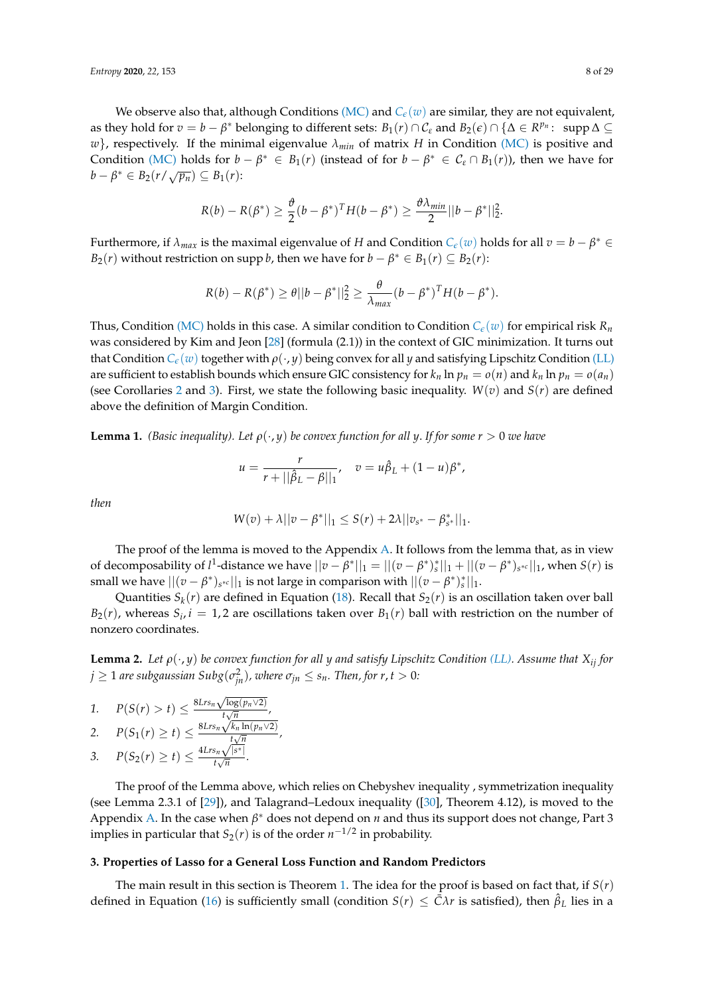We observe also that, although Conditions [\(MC\)](#page-5-1) and  $C_{\epsilon}(w)$  $C_{\epsilon}(w)$  $C_{\epsilon}(w)$  are similar, they are not equivalent, as they hold for  $v = b - \beta^*$  belonging to different sets:  $B_1(r) \cap C_{\varepsilon}$  and  $B_2(\varepsilon) \cap {\Delta \in R^{p_n}}$ : supp  $\Delta \subseteq$ *w*}, respectively. If the minimal eigenvalue *λmin* of matrix *H* in Condition [\(MC\)](#page-5-1) is positive and Condition [\(MC\)](#page-5-1) holds for  $b - \beta^* \in B_1(r)$  (instead of for  $b - \beta^* \in C_{\epsilon} \cap B_1(r)$ ), then we have for  $b - \beta^* \in B_2(r/\sqrt{p_n}) \subseteq B_1(r)$ :

$$
R(b) - R(\beta^*) \geq \frac{\vartheta}{2}(b - \beta^*)^T H(b - \beta^*) \geq \frac{\vartheta \lambda_{min}}{2} ||b - \beta^*||_2^2.
$$

Furthermore, if  $\lambda_{max}$  is the maximal eigenvalue of *H* and Condition  $C_{\epsilon}(w)$  $C_{\epsilon}(w)$  $C_{\epsilon}(w)$  holds for all  $v = b - \beta^* \in$ *B*<sub>2</sub>(*r*) without restriction on supp *b*, then we have for  $b - \beta^* \in B_1(r) \subseteq B_2(r)$ :

$$
R(b) - R(\beta^*) \geq \theta ||b - \beta^*||_2^2 \geq \frac{\theta}{\lambda_{max}} (b - \beta^*)^T H(b - \beta^*).
$$

Thus, Condition [\(MC\)](#page-5-1) holds in this case. A similar condition to Condition  $C_{\epsilon}(w)$  $C_{\epsilon}(w)$  $C_{\epsilon}(w)$  for empirical risk  $R_n$ was considered by Kim and Jeon [\[28\]](#page-27-22) (formula (2.1)) in the context of GIC minimization. It turns out that Condition  $C_{\epsilon}(w)$  $C_{\epsilon}(w)$  $C_{\epsilon}(w)$  together with  $\rho(\cdot, y)$  being convex for all *y* and satisfying Lipschitz Condition [\(LL\)](#page-6-1) are sufficient to establish bounds which ensure GIC consistency for  $k_n \ln p_n = o(n)$  and  $k_n \ln p_n = o(a_n)$ (see Corollaries [2](#page-11-1) and [3\)](#page-13-0). First, we state the following basic inequality.  $W(v)$  and  $S(r)$  are defined above the definition of Margin Condition.

<span id="page-7-2"></span>**Lemma 1.** *(Basic inequality). Let*  $\rho(\cdot, y)$  *be convex function for all y. If for some r* > 0 *we have* 

$$
u = \frac{r}{r + ||\hat{\beta}_L - \beta||_1}, \quad v = u\hat{\beta}_L + (1 - u)\beta^*,
$$

*then*

$$
W(v) + \lambda ||v - \beta^*||_1 \leq S(r) + 2\lambda ||v_{s^*} - \beta^*_{s^*}||_1.
$$

The proof of the lemma is moved to the Appendix [A.](#page-23-0) It follows from the lemma that, as in view of decomposability of  $l^1$ -distance we have  $||v - \beta^*||_1 = ||(v - \beta^*)^*_{s}||_1 + ||(v - \beta^*)_{s^{*c}}||_1$ , when  $S(r)$  is small we have  $||(v - \beta^*)_{s^{*c}}||_1$  is not large in comparison with  $||(v - \beta^*)^*_s||_1$ .

Quantities  $S_k(r)$  are defined in Equation [\(18\)](#page-6-2). Recall that  $S_2(r)$  is an oscillation taken over ball  $B_2(r)$ , whereas  $S_i$ ,  $i = 1, 2$  are oscillations taken over  $B_1(r)$  ball with restriction on the number of nonzero coordinates.

<span id="page-7-0"></span>**Lemma 2.** Let  $\rho(\cdot, y)$  be convex function for all y and satisfy Lipschitz Condition [\(LL\).](#page-6-1) Assume that  $X_{ij}$  for  $j\geq 1$  are subgaussian Subg $(\sigma_{jn}^2)$ , where  $\sigma_{jn}\leq s_n.$  Then, for  $r,t>0.$ 

<span id="page-7-3"></span>1. 
$$
P(S(r) > t) \leq \frac{8Lrs_n\sqrt{\log(p_n\vee 2)}}{t\sqrt{n}},
$$

<span id="page-7-4"></span>2. 
$$
P(S_1(r) \geq t) \leq \frac{8Lrs_n\sqrt{k_n\ln(p_n\vee 2)}}{t\sqrt{n}},
$$

<span id="page-7-5"></span>
$$
3. \quad P(S_2(r) \geq t) \leq \frac{4Lrs_n\sqrt{|s^*|}}{t\sqrt{n}}.
$$

The proof of the Lemma above, which relies on Chebyshev inequality , symmetrization inequality (see Lemma 2.3.1 of [\[29\]](#page-27-23)), and Talagrand–Ledoux inequality ([\[30\]](#page-27-24), Theorem 4.12), is moved to the Appendix [A.](#page-23-0) In the case when  $β$ <sup>\*</sup> does not depend on *n* and thus its support does not change, Part 3 implies in particular that  $S_2(r)$  is of the order  $n^{-1/2}$  in probability.

### <span id="page-7-1"></span>**3. Properties of Lasso for a General Loss Function and Random Predictors**

The main result in this section is Theorem [1.](#page-8-0) The idea for the proof is based on fact that, if *S*(*r*) defined in Equation [\(16\)](#page-5-2) is sufficiently small (condition  $S(r) \leq \bar{C} \lambda r$  is satisfied), then  $\hat{\beta}_L$  lies in a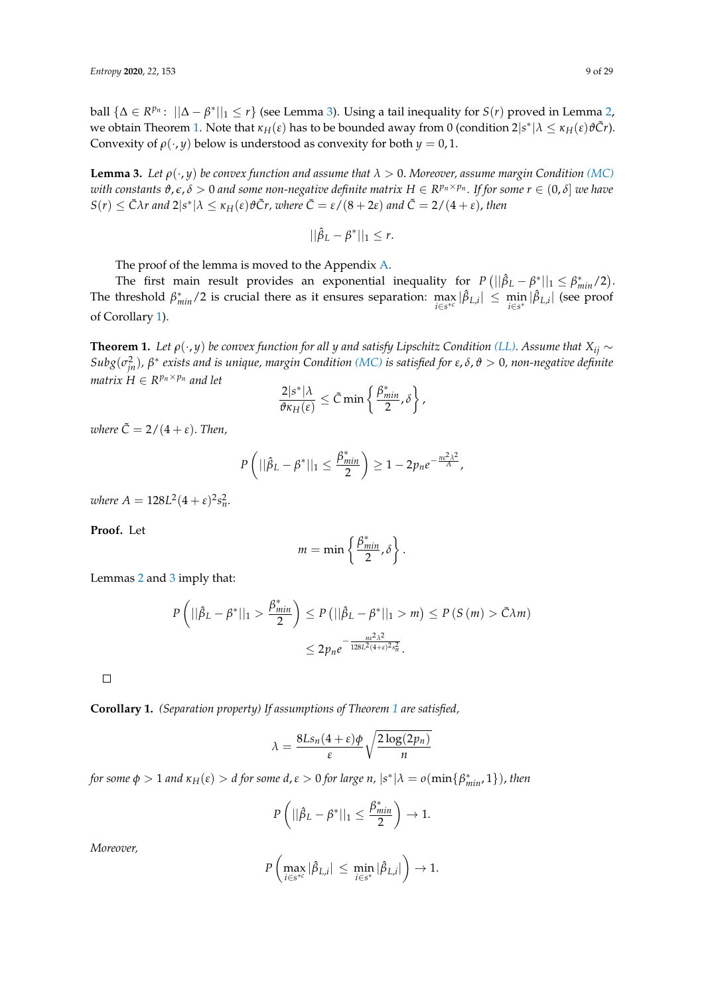ball  $\{\Delta \in R^{p_n}$ :  $||\Delta - \beta^*||_1 \leq r\}$  (see Lemma [3\)](#page-8-1). Using a tail inequality for *S*(*r*) proved in Lemma [2,](#page-7-0)  $\alpha$  we obtain Theorem [1.](#page-8-0) Note that  $\kappa$ <sub>*H*</sub>( $\varepsilon$ ) has to be bounded away from 0 (condition 2|s<sup>\*</sup>|λ  $\leq \kappa$ <sub>*H*</sub>( $\varepsilon$ ) $\vartheta$ C̃*r*). Convexity of  $\rho(\cdot, y)$  below is understood as convexity for both  $y = 0, 1$ .

<span id="page-8-1"></span>**Lemma 3.** *Let*  $\rho(\cdot, y)$  *be convex function and assume that*  $\lambda > 0$ *. Moreover, assume margin Condition [\(MC\)](#page-5-1)*  $a$  *a k t with constants*  $\vartheta$ *,* $\epsilon$ *,*  $\delta > 0$  *and some non-negative definite matrix*  $H \in R^{p_n \times p_n}$ *. If for some*  $r \in (0,\delta]$  *we have*  $S(r) \leq \bar{C}\lambda r$  and  $2|s^*|\lambda \leq \kappa_H(\varepsilon)\vartheta \tilde{C}r$ , where  $\bar{C} = \varepsilon/(8+2\varepsilon)$  and  $\tilde{C} = 2/(4+\varepsilon)$ , then

$$
||\hat{\beta}_L - \beta^*||_1 \leq r.
$$

The proof of the lemma is moved to the Appendix [A.](#page-23-0)

The first main result provides an exponential inequality for  $P(||\hat{\beta}_L - \beta^*||_1 \leq \beta^*_{min}/2)$ . The threshold  $\beta^*_{min}/2$  is crucial there as it ensures separation:  $\max_{i \in s^{*c}} |\hat{\beta}_{L,i}| \leq \min_{i \in s^*} |\hat{\beta}_{L,i}|$  (see proof of Corollary [1\)](#page-8-2).

<span id="page-8-0"></span>**Theorem 1.** *Let*  $\rho(\cdot, y)$  *be convex function for all y and satisfy Lipschitz Condition [\(LL\).](#page-6-1) Assume that*  $X_{ij} \sim$ *Subg*(*σ* 2 *jn*)*, β* ∗ *exists and is unique, margin Condition [\(MC\)](#page-5-1) is satisfied for ε*, *δ*, *ϑ* > 0*, non-negative definite matrix*  $H \in R^{p_n \times p_n}$  *and let* 

$$
\frac{2|s^*| \lambda}{\vartheta \kappa_H(\varepsilon)} \leq \tilde{C} \min \left\{ \frac{\beta^*_{min}}{2}, \delta \right\},\,
$$

*where*  $\tilde{C} = 2/(4 + \varepsilon)$ . *Then,* 

$$
P\left(||\hat{\beta}_L - \beta^*||_1 \leq \frac{\beta^*_{min}}{2}\right) \geq 1 - 2p_n e^{-\frac{ne^2\lambda^2}{A}},
$$

 $where A = 128L^2(4 + \varepsilon)^2 s_n^2.$ 

**Proof.** Let

$$
m=\min\left\{\frac{\beta^*_{min}}{2},\delta\right\}.
$$

Lemmas [2](#page-7-0) and [3](#page-8-1) imply that:

$$
P\left(||\hat{\beta}_L - \beta^*||_1 > \frac{\beta^*_{min}}{2}\right) \le P\left(||\hat{\beta}_L - \beta^*||_1 > m\right) \le P\left(S\left(m\right) > \bar{C}\lambda m\right)
$$

$$
\le 2p_n e^{-\frac{n\epsilon^2\lambda^2}{128L^2(4+\epsilon)^2s_n^2}}.
$$

 $\Box$ 

<span id="page-8-2"></span>**Corollary 1.** *(Separation property) If assumptions of Theorem [1](#page-8-0) are satisfied,*

$$
\lambda = \frac{8Ls_n(4+\varepsilon)\phi}{\varepsilon} \sqrt{\frac{2\log(2p_n)}{n}}
$$

*for some*  $\phi > 1$  *and*  $\kappa_H(\varepsilon) > d$  *for some*  $d$ ,  $\varepsilon > 0$  *for large*  $n$ ,  $|s^*| \lambda = o(\min\{\beta^*_{min}, 1\})$ , then

$$
P\left(||\hat{\beta}_L - \beta^*||_1 \leq \frac{\beta^*_{min}}{2}\right) \to 1.
$$

*Moreover,*

$$
P\left(\max_{i\in s^{*c}}|\hat{\beta}_{L,i}|~\leq~\min_{i\in s^*}|\hat{\beta}_{L,i}|\right)\to 1.
$$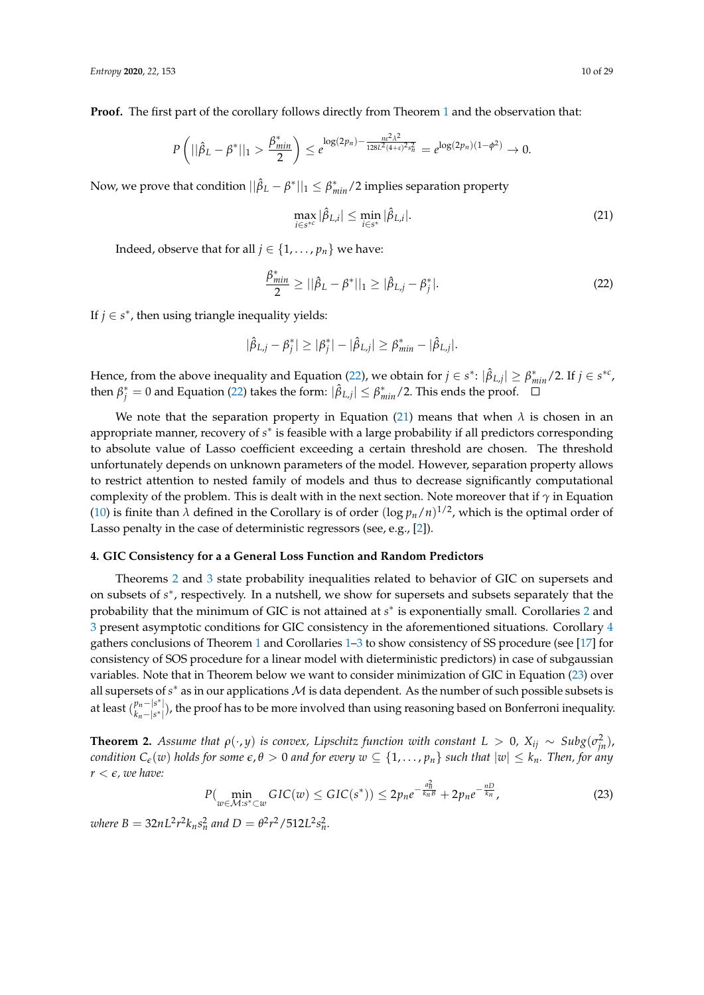**Proof.** The first part of the corollary follows directly from Theorem [1](#page-8-0) and the observation that:

$$
P\left(||\hat{\beta}_L - \beta^*||_1 > \frac{\beta^*_{min}}{2}\right) \leq e^{\log(2p_n) - \frac{ne^2\lambda^2}{128L^2(4+\epsilon)^2s_n^2}} = e^{\log(2p_n)(1-\phi^2)} \to 0.
$$

Now, we prove that condition  $||\hat{\beta}_L - \beta^*||_1 \leq \beta^*_{min}/2$  implies separation property

<span id="page-9-3"></span>
$$
\max_{i \in s^{*c}} |\hat{\beta}_{L,i}| \le \min_{i \in s^*} |\hat{\beta}_{L,i}|. \tag{21}
$$

Indeed, observe that for all  $j \in \{1, \ldots, p_n\}$  we have:

<span id="page-9-2"></span>
$$
\frac{\beta_{min}^*}{2} \ge ||\hat{\beta}_L - \beta^*||_1 \ge |\hat{\beta}_{L,j} - \beta_j^*|.
$$
\n(22)

If  $j \in s^*$ , then using triangle inequality yields:

$$
|\hat{\beta}_{L,j} - \beta_j^*| \geq |\beta_j^*| - |\hat{\beta}_{L,j}| \geq \beta_{min}^* - |\hat{\beta}_{L,j}|.
$$

Hence, from the above inequality and Equation [\(22\)](#page-9-2), we obtain for  $j \in s^*$ :  $|\hat{\beta}_{L,j}| \geq \beta^*_{min}/2$ . If  $j \in s^{*c}$ , then  $\beta_j^* = 0$  and Equation [\(22\)](#page-9-2) takes the form:  $|\hat{\beta}_{L,j}| \leq \beta_{min}^*/2$ . This ends the proof.

We note that the separation property in Equation [\(21\)](#page-9-3) means that when  $\lambda$  is chosen in an appropriate manner, recovery of *s*<sup>\*</sup> is feasible with a large probability if all predictors corresponding to absolute value of Lasso coefficient exceeding a certain threshold are chosen. The threshold unfortunately depends on unknown parameters of the model. However, separation property allows to restrict attention to nested family of models and thus to decrease significantly computational complexity of the problem. This is dealt with in the next section. Note moreover that if *γ* in Equation [\(10\)](#page-4-1) is finite than  $\lambda$  defined in the Corollary is of order  $(\log p_n/n)^{1/2}$ , which is the optimal order of Lasso penalty in the case of deterministic regressors (see, e.g., [\[2\]](#page-26-1)).

#### <span id="page-9-1"></span>**4. GIC Consistency for a a General Loss Function and Random Predictors**

Theorems [2](#page-9-0) and [3](#page-11-0) state probability inequalities related to behavior of GIC on supersets and on subsets of  $s^*$ , respectively. In a nutshell, we show for supersets and subsets separately that the probability that the minimum of GIC is not attained at *s*<sup>\*</sup> is exponentially small. Corollaries [2](#page-11-1) and [3](#page-13-0) present asymptotic conditions for GIC consistency in the aforementioned situations. Corollary [4](#page-13-1) gathers conclusions of Theorem [1](#page-8-0) and Corollaries [1–](#page-8-2)[3](#page-13-0) to show consistency of SS procedure (see [\[17\]](#page-27-12) for consistency of SOS procedure for a linear model with dieterministic predictors) in case of subgaussian variables. Note that in Theorem below we want to consider minimization of GIC in Equation [\(23\)](#page-9-4) over all supersets of  $s^*$  as in our applications  $M$  is data dependent. As the number of such possible subsets is at least  $\binom{p_n - |s^*|}{k_n - |s^*|}$ *pn*−|s<sup>∗</sup>|), the proof has to be more involved than using reasoning based on Bonferroni inequality.<br>k<sub>n</sub>−|s<sup>∗</sup>|),

<span id="page-9-0"></span>**Theorem 2.** Assume that  $\rho(\cdot, y)$  is convex, Lipschitz function with constant  $L > 0$ ,  $X_{ij} \sim Subg(\sigma_{jn}^2)$ , *condition*  $C_{\epsilon}(w)$  *holds for some*  $\epsilon, \theta > 0$  *and for every*  $w \subseteq \{1, \ldots, p_n\}$  *such that*  $|w| \leq k_n$ *. Then, for any*  $r < \epsilon$ , we have:

<span id="page-9-4"></span>
$$
P(\min_{w \in \mathcal{M}: s^* \subset w} GIC(w) \leq GIC(s^*)) \leq 2p_n e^{-\frac{a_n^2}{k_n B}} + 2p_n e^{-\frac{nD}{k_n}},\tag{23}
$$

 $\omega$ *here*  $B = 32nL^2r^2k_n s_n^2$  and  $D = \theta^2r^2/512L^2s_n^2$ .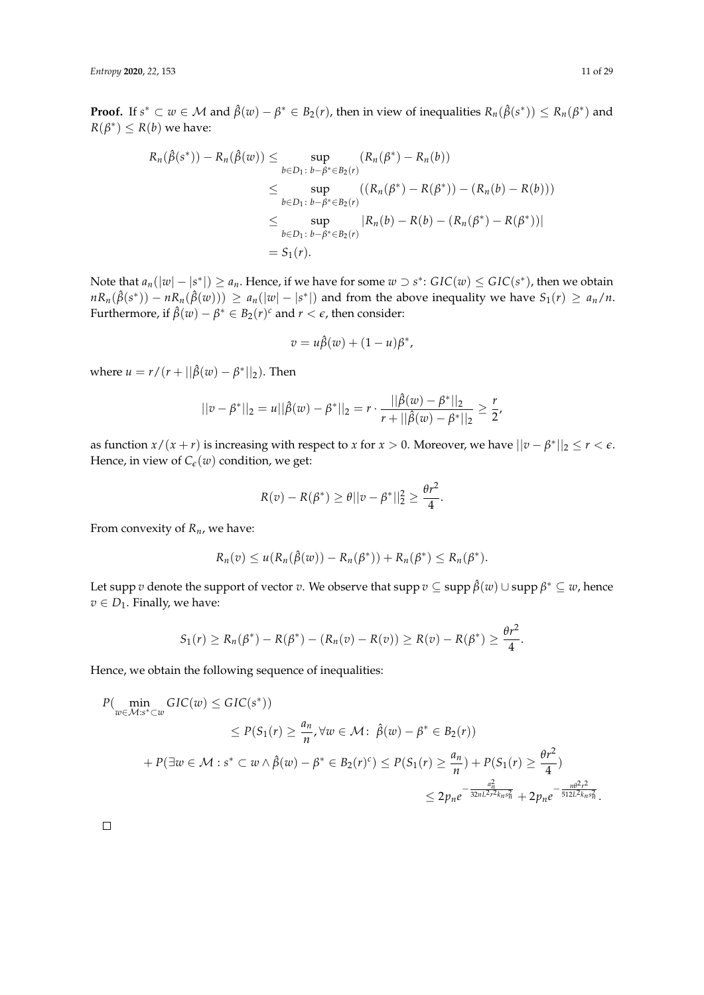**Proof.** If  $s^* \subset w \in M$  and  $\hat{\beta}(w) - \beta^* \in B_2(r)$ , then in view of inequalities  $R_n(\hat{\beta}(s^*)) \le R_n(\beta^*)$  and  $R(\beta^*) \le R(b)$  we have:

$$
R_n(\hat{\beta}(s^*)) - R_n(\hat{\beta}(w)) \le \sup_{b \in D_1 \colon b - \beta^* \in B_2(r)} (R_n(\beta^*) - R_n(b))
$$
  
\n
$$
\le \sup_{b \in D_1 \colon b - \beta^* \in B_2(r)} ((R_n(\beta^*) - R(\beta^*)) - (R_n(b) - R(b)))
$$
  
\n
$$
\le \sup_{b \in D_1 \colon b - \beta^* \in B_2(r)} |R_n(b) - R(b) - (R_n(\beta^*) - R(\beta^*))|
$$
  
\n
$$
= S_1(r).
$$

Note that  $a_n(|w|-|s^*|) \ge a_n$ . Hence, if we have for some  $w \supset s^*$ :  $GIC(w) \le GIC(s^*)$ , then we obtain  $nR_n(\hat{\beta}(s^*)) - nR_n(\hat{\beta}(w))) \ge a_n(|w| - |s^*|)$  and from the above inequality we have  $S_1(r) \ge a_n/n$ . Furthermore, if  $\hat{\beta}(w) - \beta^* \in B_2(r)^c$  and  $r < \epsilon$ , then consider:

$$
v = u\hat{\beta}(w) + (1 - u)\beta^*,
$$

where  $u = r/(r + ||\hat{\beta}(w) - \beta^*||_2)$ . Then

$$
||v - \beta^*||_2 = u||\hat{\beta}(w) - \beta^*||_2 = r \cdot \frac{||\hat{\beta}(w) - \beta^*||_2}{r + ||\hat{\beta}(w) - \beta^*||_2} \ge \frac{r}{2},
$$

as function  $x/(x+r)$  is increasing with respect to *x* for  $x > 0$ . Moreover, we have  $||v - \beta^*||_2 \le r < \epsilon$ . Hence, in view of  $C_{\epsilon}(w)$  condition, we get:

$$
R(v) - R(\beta^*) \geq \theta ||v - \beta^*||_2^2 \geq \frac{\theta r^2}{4}.
$$

From convexity of *Rn*, we have:

$$
R_n(v) \leq u(R_n(\hat{\beta}(w)) - R_n(\beta^*)) + R_n(\beta^*) \leq R_n(\beta^*).
$$

Let supp *v* denote the support of vector *v*. We observe that supp *v* ⊆ supp *β*ˆ(*w*) ∪ supp *β* <sup>∗</sup> ⊆ *w*, hence  $v \in D_1$ . Finally, we have:

$$
S_1(r) \ge R_n(\beta^*) - R(\beta^*) - (R_n(v) - R(v)) \ge R(v) - R(\beta^*) \ge \frac{\theta r^2}{4}.
$$

Hence, we obtain the following sequence of inequalities:

$$
P(\min_{w \in \mathcal{M}:s^* \subset w} GIC(w) \leq GIC(s^*))
$$
  
\n
$$
\leq P(S_1(r) \geq \frac{a_n}{n}, \forall w \in \mathcal{M}: \hat{\beta}(w) - \beta^* \in B_2(r))
$$
  
\n
$$
+ P(\exists w \in \mathcal{M}:s^* \subset w \land \hat{\beta}(w) - \beta^* \in B_2(r)^c) \leq P(S_1(r) \geq \frac{a_n}{n}) + P(S_1(r) \geq \frac{\theta r^2}{4})
$$
  
\n
$$
\leq 2p_n e^{-\frac{a_n^2}{32nL^2 r^2 k_n s_n^2}} + 2p_n e^{-\frac{n\theta^2 r^2}{512L^2 k_n s_n^2}}.
$$

 $\Box$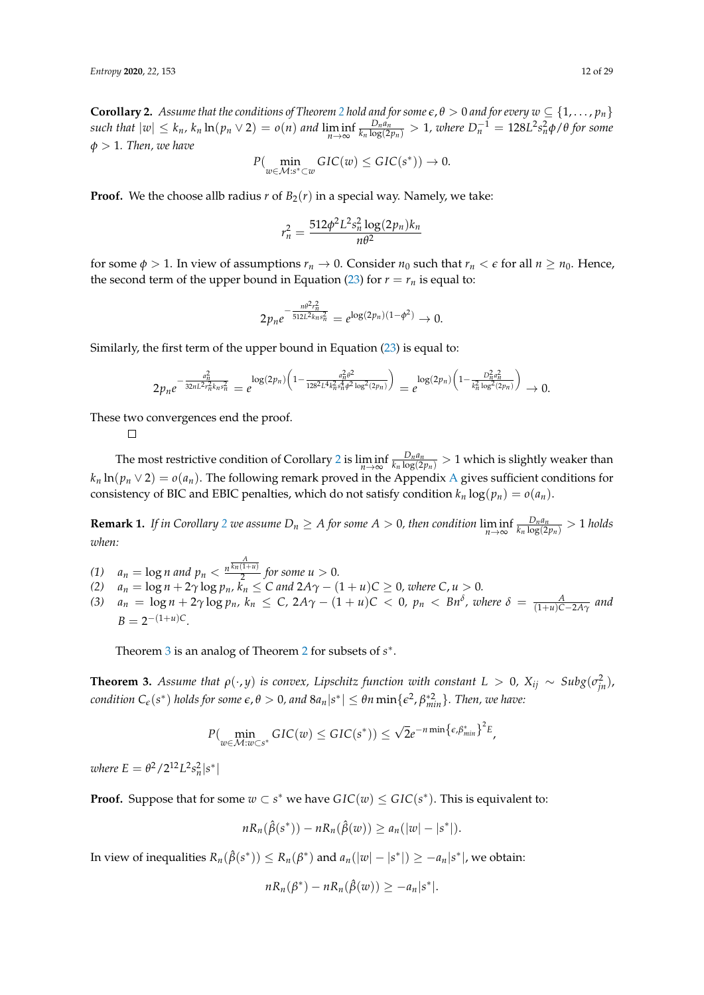<span id="page-11-1"></span>**Corollary [2](#page-9-0).** Assume that the conditions of Theorem 2 hold and for some  $\epsilon$ ,  $\theta > 0$  and for every  $w \subseteq \{1, \ldots, p_n\}$ *such that*  $|w| \leq k_n$ ,  $k_n \ln(p_n \vee 2) = o(n)$  and  $\liminf_{n \to \infty}$  $\frac{D_na_n}{k_n \log(2p_n)}>1$ , where  $D_n^{-1}=128L^2s_n^2\phi/\theta$  for some *φ* > 1*. Then, we have*

$$
P(\min_{w \in \mathcal{M}: s^* \subset w} GIC(w) \leq GIC(s^*)) \to 0.
$$

**Proof.** We the choose allb radius  $r$  of  $B_2(r)$  in a special way. Namely, we take:

$$
r_n^2 = \frac{512\phi^2 L^2 s_n^2 \log(2p_n) k_n}{n\theta^2}
$$

for some  $\phi > 1$ . In view of assumptions  $r_n \to 0$ . Consider  $n_0$  such that  $r_n < \epsilon$  for all  $n \ge n_0$ . Hence, the second term of the upper bound in Equation [\(23\)](#page-9-4) for  $r = r<sub>n</sub>$  is equal to:

$$
2p_n e^{-\frac{n\theta^2 r_n^2}{512L^2 k_n s_n^2}} = e^{\log(2p_n)(1-\phi^2)} \to 0.
$$

Similarly, the first term of the upper bound in Equation [\(23\)](#page-9-4) is equal to:

$$
2p_ne^{-\frac{a_n^2}{32nL^2r_n^2k_ns_n^2}} = e^{\log(2p_n)\left(1-\frac{a_n^2\theta^2}{128^2L^4k_ns_n^2\phi^2\log^2(2p_n)}\right)} = e^{\log(2p_n)\left(1-\frac{D_n^2a_n^2}{k_n^2\log^2(2p_n)}\right)} \to 0.
$$

These two convergences end the proof.

 $\Box$ 

The most restrictive condition of Corollary [2](#page-11-1) is lim inf *n*→∞  $\frac{D_na_n}{k_n\log(2p_n)}>1$  which is slightly weaker than  $k_n \ln(p_n \vee 2) = o(a_n)$ . The following remark proved in the [A](#page-23-0)ppendix A gives sufficient conditions for consistency of BIC and EBIC penalties, which do not satisfy condition  $k_n \log(p_n) = o(a_n)$ .

<span id="page-11-2"></span>**Remark 1.** *If in Corollary* [2](#page-11-1) *we assume*  $D_n \geq A$  *for some*  $A > 0$ *, then condition*  $\lim_{n \to \infty}$  $\frac{D_n a_n}{k_n \log(2p_n)} > 1$  *holds when:*

- *(1)*  $a_n = \log n$  and  $p_n < \frac{n^{\frac{A}{\overline{k_n}(1+u)}}}{2}$  $\frac{1}{2}$  *for some u* > 0*.*
- *(2)*  $a_n = \log n + 2γ \log p_n$ ,  $k_n ≤ C$  and  $2Aγ (1 + u)C ≥ 0$ , where  $C, u > 0$ .
- (3)  $a_n = \log n + 2\gamma \log p_n$ ,  $k_n \le C$ ,  $2A\gamma (1 + u)C < 0$ ,  $p_n < Bn^{\delta}$ , where  $\delta = \frac{A}{(1+u)C-2A\gamma}$  and  $B = 2^{-(1+u)C}$ .

Theorem [3](#page-11-0) is an analog of Theorem [2](#page-9-0) for subsets of  $s^*$ .

<span id="page-11-0"></span>**Theorem 3.** Assume that  $\rho(\cdot, y)$  is convex, Lipschitz function with constant  $L > 0$ ,  $X_{ij} \sim Subg(\sigma_{jn}^2)$ , *condition*  $C_{\epsilon}(s^*)$  *holds for some*  $\epsilon$ ,  $\theta > 0$ , and  $8a_n|s^*| \leq \theta n \min\{\epsilon^2, \beta^*_{min}\}$ . Then, we have:

$$
P(\min_{w \in \mathcal{M}: w \subset s^*} GIC(w) \leq GIC(s^*)) \leq \sqrt{2}e^{-n\min{\{\epsilon,\beta^*_{min}\}}^2}.
$$

*where*  $E = \frac{\theta^2}{2^{12}L^2 s_n^2 |s^*|}$ 

**Proof.** Suppose that for some  $w \subset s^*$  we have  $GIC(w) \leq GIC(s^*)$ . This is equivalent to:

 $nR_n(\hat{\beta}(s^*)) - nR_n(\hat{\beta}(w)) \ge a_n(|w| - |s^*|).$ 

In view of inequalities  $R_n(\hat{\beta}(s^*)) \le R_n(\beta^*)$  and  $a_n(|w|-|s^*|) \ge -a_n|s^*|$ , we obtain:

$$
nR_n(\beta^*) - nR_n(\hat{\beta}(w)) \geq -a_n|s^*|.
$$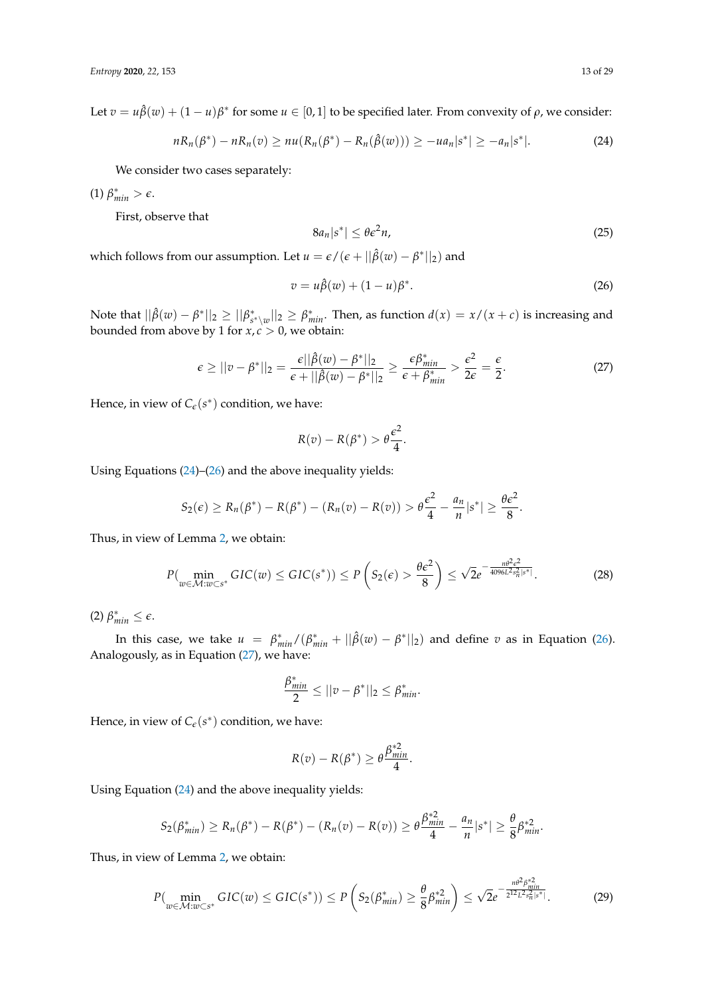Let  $v = u\hat{\beta}(w) + (1 - u)\beta^*$  for some  $u \in [0, 1]$  to be specified later. From convexity of  $\rho$ , we consider:

<span id="page-12-0"></span>
$$
nR_n(\beta^*) - nR_n(v) \ge nu(R_n(\beta^*) - R_n(\hat{\beta}(w))) \ge -ua_n|s^*| \ge -a_n|s^*|.
$$
 (24)

We consider two cases separately:

 $(1)$   $\beta_{min}^* > \epsilon$ .

First, observe that

$$
8a_n|s^*| \le \theta \epsilon^2 n,\tag{25}
$$

which follows from our assumption. Let  $u = \epsilon/(\epsilon + ||\hat{\beta}(w) - \beta^*||_2)$  and

<span id="page-12-1"></span>
$$
v = u\hat{\beta}(w) + (1 - u)\beta^*.
$$
\n<sup>(26)</sup>

Note that  $||\hat{\beta}(w) - \beta^*||_2 \ge ||\beta^*_{s^* \setminus w}||_2 \ge \beta^*_{min}.$  Then, as function  $d(x) = x/(x+c)$  is increasing and bounded from above by 1 for *x*, *c* > 0, we obtain:

<span id="page-12-2"></span>
$$
\epsilon \ge ||v - \beta^*||_2 = \frac{\epsilon ||\hat{\beta}(w) - \beta^*||_2}{\epsilon + ||\hat{\beta}(w) - \beta^*||_2} \ge \frac{\epsilon \beta^*_{min}}{\epsilon + \beta^*_{min}} > \frac{\epsilon^2}{2\epsilon} = \frac{\epsilon}{2}.
$$
 (27)

Hence, in view of  $C_{\epsilon}(s^*)$  condition, we have:

$$
R(v) - R(\beta^*) > \theta \frac{\epsilon^2}{4}.
$$

Using Equations [\(24\)](#page-12-0)–[\(26\)](#page-12-1) and the above inequality yields:

$$
S_2(\epsilon) \ge R_n(\beta^*) - R(\beta^*) - (R_n(v) - R(v)) > \theta \frac{\epsilon^2}{4} - \frac{a_n}{n} |s^*| \ge \frac{\theta \epsilon^2}{8}.
$$

Thus, in view of Lemma [2,](#page-7-0) we obtain:

<span id="page-12-3"></span>
$$
P(\min_{w \in \mathcal{M}: w \subset s^*} GIC(w) \leq GIC(s^*)) \leq P\left(S_2(\epsilon) > \frac{\theta\epsilon^2}{8}\right) \leq \sqrt{2}e^{-\frac{n\theta^2\epsilon^2}{4096L^2s_n^2|s^*|}}.
$$
 (28)

 $(2)$   $\beta_{min}^* \leq \epsilon$ .

In this case, we take  $u = \beta_{min}^*/(\beta_{min}^* + ||\hat{\beta}(w) - \beta^*||_2)$  and define *v* as in Equation [\(26\)](#page-12-1). Analogously, as in Equation [\(27\)](#page-12-2), we have:

$$
\frac{\beta^*_{min}}{2} \leq ||v - \beta^*||_2 \leq \beta^*_{min}.
$$

Hence, in view of  $C_{\epsilon}(s^*)$  condition, we have:

$$
R(v) - R(\beta^*) \ge \theta \frac{\beta_{\text{min}}^{*2}}{4}.
$$

Using Equation [\(24\)](#page-12-0) and the above inequality yields:

$$
S_2(\beta^*_{min}) \ge R_n(\beta^*) - R(\beta^*) - (R_n(v) - R(v)) \ge \theta \frac{\beta^*_{min}}{4} - \frac{a_n}{n} |s^*| \ge \frac{\theta}{8} \beta^*_{min}^2.
$$

Thus, in view of Lemma [2,](#page-7-0) we obtain:

<span id="page-12-4"></span>
$$
P(\min_{w\in\mathcal{M}:w\subset s^*} GIC(w)\leq GIC(s^*))\leq P\left(S_2(\beta^*_{min})\geq \frac{\theta}{8}\beta^{*2}_{min}\right)\leq \sqrt{2}e^{-\frac{n\theta^2\beta^*_{min}}{2^{12}L^2s_n^2|s^*|}}.\tag{29}
$$

∗2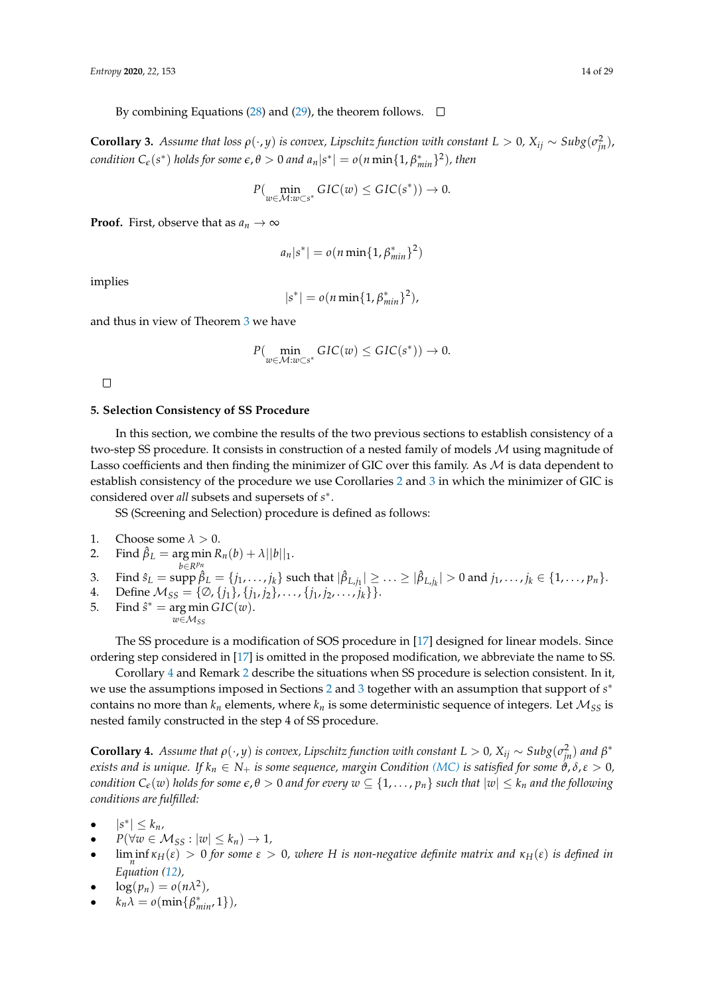By combining Equations [\(28\)](#page-12-3) and [\(29\)](#page-12-4), the theorem follows.  $\square$ 

<span id="page-13-0"></span>**Corollary 3.** Assume that loss  $\rho(\cdot, y)$  is convex, Lipschitz function with constant  $L > 0$ ,  $X_{ij} \sim Subg(\sigma_{jn}^2)$ , *condition*  $C_{\epsilon}(s^*)$  *holds for some*  $\epsilon$ ,  $\theta > 0$  *and*  $a_n|s^*| = o(n \min\{1, \beta^*_{min}\}^2)$ , then

$$
P(\min_{w \in \mathcal{M}: w \subset s^*} GIC(w) \leq GIC(s^*)) \to 0.
$$

**Proof.** First, observe that as  $a_n \to \infty$ 

$$
a_n|s^*|=o(n\min\{1,\beta_{min}^*\}^2)
$$

implies

$$
|s^*| = o(n \min\{1, \beta_{min}^*\}^2),
$$

and thus in view of Theorem [3](#page-11-0) we have

$$
P(\min_{w \in \mathcal{M}: w \subset s^*} GIC(w) \leq GIC(s^*)) \to 0.
$$

 $\Box$ 

## <span id="page-13-2"></span>**5. Selection Consistency of SS Procedure**

In this section, we combine the results of the two previous sections to establish consistency of a two-step SS procedure. It consists in construction of a nested family of models M using magnitude of Lasso coefficients and then finding the minimizer of GIC over this family. As  $M$  is data dependent to establish consistency of the procedure we use Corollaries [2](#page-11-1) and [3](#page-13-0) in which the minimizer of GIC is considered over *all* subsets and supersets of *s* ∗ .

SS (Screening and Selection) procedure is defined as follows:

1. Choose some  $\lambda > 0$ .

2. Find 
$$
\hat{\beta}_L = \underset{h \in \mathbb{R}^{p_n}}{\arg \min} R_n(b) + \lambda ||b||_1
$$
.

3. Find 
$$
\hat{s}_L = \text{supp }\hat{\beta}_L = \{j_1, ..., j_k\}
$$
 such that  $|\hat{\beta}_{L,j_1}| \ge ... \ge |\hat{\beta}_{L,j_k}| > 0$  and  $j_1, ..., j_k \in \{1, ..., p_n\}$ .  
4. Define  $\mathcal{M}_{SS} = \{\emptyset, \{j_1\}, \{j_1, j_2\}, ..., \{j_1, j_2, ..., j_k\}\}$ .

- 
- 5. Find  $\hat{s}^* = \arg \min GIC(w)$ .  $w \in M_{SS}$

The SS procedure is a modification of SOS procedure in [\[17\]](#page-27-12) designed for linear models. Since ordering step considered in [\[17\]](#page-27-12) is omitted in the proposed modification, we abbreviate the name to SS.

Corollary [4](#page-13-1) and Remark [2](#page-15-1) describe the situations when SS procedure is selection consistent. In it, we use the assumptions imposed in Sections [2](#page-4-0) and [3](#page-7-1) together with an assumption that support of  $s^*$ contains no more than  $k_n$  elements, where  $k_n$  is some deterministic sequence of integers. Let  $\mathcal{M}_{SS}$  is nested family constructed in the step 4 of SS procedure.

<span id="page-13-1"></span>**Corollary 4.** *Assume that*  $\rho(\cdot, y)$  *is convex, Lipschitz function with constant*  $L > 0$ ,  $X_{ij} \sim Subg(\sigma_{jn}^2)$  *and*  $\beta^*$ *exists and is unique. If*  $k_n \in N_+$  *is some sequence, margin Condition [\(MC\)](#page-5-1) is satisfied for some*  $\vartheta$ *,*  $\delta$ ,  $\varepsilon > 0$ *, condition*  $C_{\epsilon}(w)$  *holds for some*  $\epsilon, \theta > 0$  *and for every*  $w \subseteq \{1, \ldots, p_n\}$  *such that*  $|w| \leq k_n$  *and the following conditions are fulfilled:*

- $|s^*| \leq k_n$
- $P(\forall w \in M_{SS} : |w| \leq k_n) \rightarrow 1$
- **•**  $\liminf_{n}$   $\kappa$ <sub>H</sub>( $\varepsilon$ ) > 0 *for some*  $\varepsilon$  > 0, where H *is non-negative definite matrix and*  $\kappa$ <sub>H</sub>( $\varepsilon$ ) *is defined in Equation [\(12\)](#page-5-0),*
- $\log(p_n) = o(n\lambda^2)$
- $k_n\lambda = o(\min{\beta^*_{min}}, 1)$ *)*,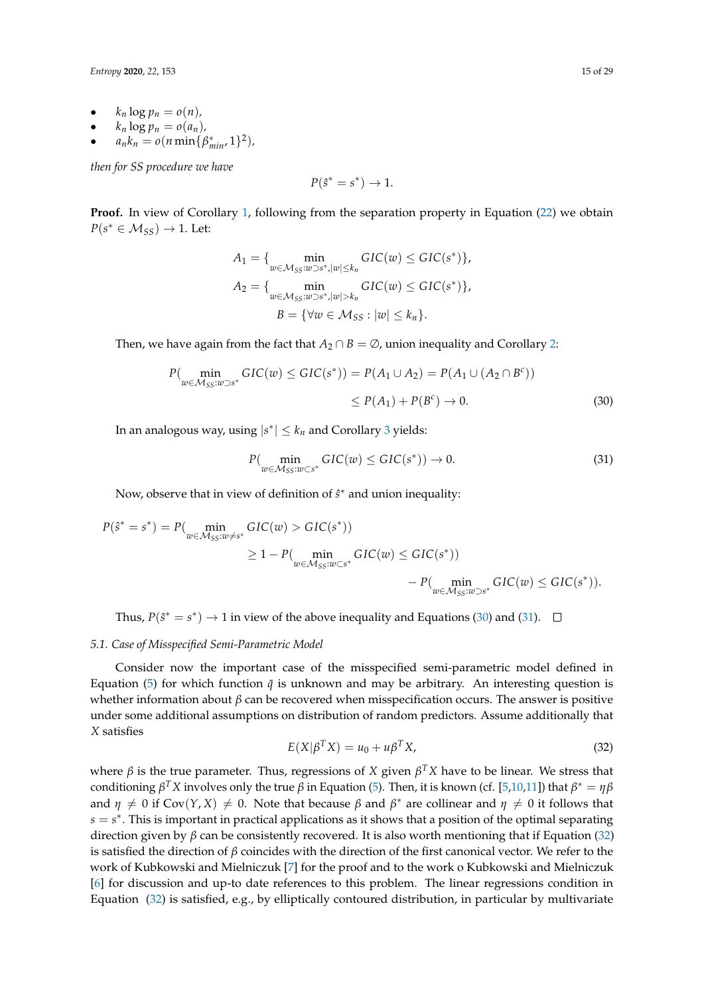*Entropy* **2020**, *22*, 153 15 of 29

- $k_n \log p_n = o(n)$ ,
- $k_n \log p_n = o(a_n)$ ,
- $a_n k_n = o(n \min\{\beta^*_{min}, 1\}^2)$

*then for SS procedure we have*

$$
P(\hat{s}^* = s^*) \to 1.
$$

**Proof.** In view of Corollary [1,](#page-8-2) following from the separation property in Equation [\(22\)](#page-9-2) we obtain  $P(s^* \in M_{SS}) \rightarrow 1$ . Let:

$$
A_1 = \{ \min_{w \in \mathcal{M}_{SS}: w \supset s^* , |w| \leq k_n} \text{GIC}(w) \leq \text{GIC}(s^*) \},
$$
  
\n
$$
A_2 = \{ \min_{w \in \mathcal{M}_{SS}: w \supset s^* , |w| > k_n} \text{GIC}(w) \leq \text{GIC}(s^*) \},
$$
  
\n
$$
B = \{ \forall w \in \mathcal{M}_{SS} : |w| \leq k_n \}.
$$

Then, we have again from the fact that  $A_2 \cap B = \emptyset$ , union inequality and Corollary [2:](#page-11-1)

$$
P(\min_{w \in \mathcal{M}_{SS}: w \supset s^*} GIC(w) \leq GIC(s^*)) = P(A_1 \cup A_2) = P(A_1 \cup (A_2 \cap B^c))
$$
  
\$\leq P(A\_1) + P(B^c) \to 0\$. (30)

In an analogous way, using  $|s^*| \leq k_n$  and Corollary [3](#page-13-0) yields:

<span id="page-14-2"></span><span id="page-14-1"></span>
$$
P(\min_{w \in \mathcal{M}_{SS}: w \subset s^*} GIC(w) \leq GIC(s^*)) \to 0.
$$
 (31)

Now, observe that in view of definition of  $\hat{s}^*$  and union inequality:

$$
P(\hat{s}^* = s^*) = P(\min_{w \in \mathcal{M}_{SS}: w \neq s^*} GL(w) > GIC(s^*))
$$
  
\n
$$
\geq 1 - P(\min_{w \in \mathcal{M}_{SS}: w \subseteq s^*} GL(w) \leq GIC(s^*))
$$
  
\n
$$
- P(\min_{w \in \mathcal{M}_{SS}: w \supset s^*} GL(w) \leq GIC(s^*)).
$$

Thus,  $P(\hat{s}^* = s^*) \rightarrow 1$  in view of the above inequality and Equations [\(30\)](#page-14-1) and [\(31\)](#page-14-2).

### <span id="page-14-0"></span>*5.1. Case of Misspecified Semi-Parametric Model*

Consider now the important case of the misspecified semi-parametric model defined in Equation [\(5\)](#page-1-2) for which function  $\tilde{q}$  is unknown and may be arbitrary. An interesting question is whether information about *β* can be recovered when misspecification occurs. The answer is positive under some additional assumptions on distribution of random predictors. Assume additionally that *X* satisfies

<span id="page-14-3"></span>
$$
E(X|\beta^T X) = u_0 + u\beta^T X,\tag{32}
$$

where *β* is the true parameter. Thus, regressions of *X* given *β <sup>T</sup>X* have to be linear. We stress that conditioning  $β^T X$  involves only the true  $β$  in Equation [\(5\)](#page-1-2). Then, it is known (cf. [\[5](#page-27-0)[,10](#page-27-5)[,11\]](#page-27-6)) that  $β^* = ηβ$ and  $\eta \neq 0$  if Cov $(Y, X) \neq 0$ . Note that because  $\beta$  and  $\beta^*$  are collinear and  $\eta \neq 0$  it follows that  $s = s^*$ . This is important in practical applications as it shows that a position of the optimal separating direction given by *β* can be consistently recovered. It is also worth mentioning that if Equation [\(32\)](#page-14-3) is satisfied the direction of *β* coincides with the direction of the first canonical vector. We refer to the work of Kubkowski and Mielniczuk [\[7\]](#page-27-2) for the proof and to the work o Kubkowski and Mielniczuk [\[6\]](#page-27-1) for discussion and up-to date references to this problem. The linear regressions condition in Equation  $(32)$  is satisfied, e.g., by elliptically contoured distribution, in particular by multivariate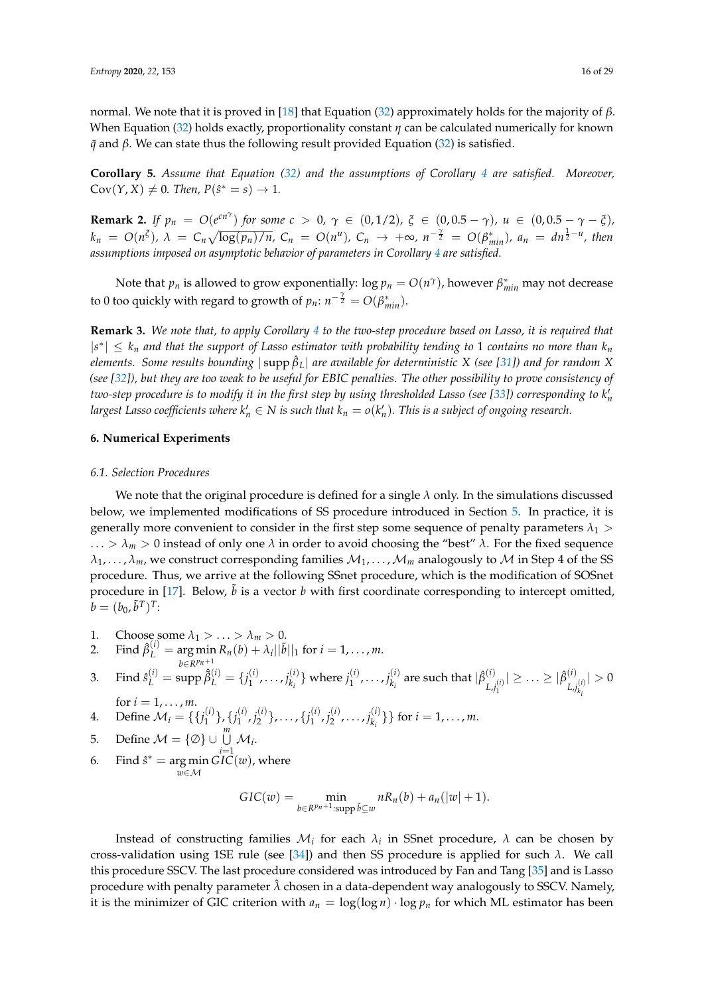normal. We note that it is proved in [\[18\]](#page-27-13) that Equation [\(32\)](#page-14-3) approximately holds for the majority of *β*. When Equation [\(32\)](#page-14-3) holds exactly, proportionality constant *η* can be calculated numerically for known *q*˜ and *β*. We can state thus the following result provided Equation [\(32\)](#page-14-3) is satisfied.

**Corollary 5.** *Assume that Equation [\(32\)](#page-14-3) and the assumptions of Corollary [4](#page-13-1) are satisfied. Moreover,*  $Cov(Y, X) \neq 0$ . Then,  $P(\hat{s}^* = s) \to 1$ .

<span id="page-15-1"></span>**Remark 2.** If  $p_n = O(e^{cn^{\gamma}})$  for some  $c > 0$ ,  $\gamma \in (0, 1/2)$ ,  $\xi \in (0, 0.5 - \gamma)$ ,  $u \in (0, 0.5 - \gamma - \xi)$ ,  $k_n = O(n^{\xi})$ ,  $\lambda = C_n \sqrt{\log(p_n)/n}$ ,  $C_n = O(n^u)$ ,  $C_n \to +\infty$ ,  $n^{-\frac{\gamma}{2}} = O(\beta_{min}^*)$ ,  $a_n = dn^{\frac{1}{2}-u}$ , then *assumptions imposed on asymptotic behavior of parameters in Corollary [4](#page-13-1) are satisfied.*

Note that  $p_n$  is allowed to grow exponentially:  $\log p_n = O(n^{\gamma})$ , however  $\beta^*_{min}$  may not decrease to 0 too quickly with regard to growth of  $p_n$ :  $n^{-\frac{\gamma}{2}} = O(\beta^*_{min})$ .

**Remark 3.** *We note that, to apply Corollary [4](#page-13-1) to the two-step procedure based on Lasso, it is required that*  $|s^*| \leq k_n$  and that the support of Lasso estimator with probability tending to 1 contains no more than  $k_n$ *elements. Some results bounding* | supp *β*ˆ *<sup>L</sup>*| *are available for deterministic X (see [\[31\]](#page-27-25)) and for random X (see [\[32\]](#page-27-26)), but they are too weak to be useful for EBIC penalties. The other possibility to prove consistency of* two-step procedure is to modify it in the first step by using thresholded Lasso (see [\[33\]](#page-27-27)) corresponding to k'<sub>n</sub> *largest Lasso coefficients where*  $k'_n \in N$  *is such that*  $k_n = o(k'_n)$ *. This is a subject of ongoing research.* 

## <span id="page-15-0"></span>**6. Numerical Experiments**

#### *6.1. Selection Procedures*

We note that the original procedure is defined for a single *λ* only. In the simulations discussed below, we implemented modifications of SS procedure introduced in Section [5.](#page-13-2) In practice, it is generally more convenient to consider in the first step some sequence of penalty parameters  $\lambda_1$  > ...  $> \lambda_m > 0$  instead of only one  $\lambda$  in order to avoid choosing the "best"  $\lambda$ . For the fixed sequence  $\lambda_1, \ldots, \lambda_m$ , we construct corresponding families  $M_1, \ldots, M_m$  analogously to M in Step 4 of the SS procedure. Thus, we arrive at the following SSnet procedure, which is the modification of SOSnet procedure in [\[17\]](#page-27-12). Below,  $\tilde{b}$  is a vector *b* with first coordinate corresponding to intercept omitted,  $b=(b_0,\tilde{b}^T)^T$ :

1. Choose some  $\lambda_1 > ... > \lambda_m > 0$ .<br>2. Final  $\hat{\theta}^{(i)}$  - argumin  $B_n$  (b) 1.1 |  $\hat{\theta}$ .

2. Find 
$$
\hat{\beta}_L^{(i)} = \arg \min_{b \in R^{pn+1}} R_n(b) + \lambda_i ||\tilde{b}||_1
$$
 for  $i = 1, ..., m$ .

3. Find 
$$
\hat{s}_L^{(i)} = \text{supp } \hat{\beta}_L^{(i)} = \{j_1^{(i)}, \ldots, j_{k_i}^{(i)}\}
$$
 where  $j_1^{(i)}, \ldots, j_{k_i}^{(i)}$  are such that  $|\hat{\beta}_{L,j_1^{(i)}}^{(i)}| \geq \ldots \geq |\hat{\beta}_{L,j_{k_i}^{(i)}}^{(i)}| > 0$  for  $i = 1, \ldots, m$ .

4. Define 
$$
\mathcal{M}_i = \{\{j_1^{(i)}\}, \{j_1^{(i)}, j_2^{(i)}\}, \dots, \{j_1^{(i)}, j_2^{(i)}, \dots, j_{k_i}^{(i)}\}\}
$$
 for  $i = 1, \dots, m$ .

5. Define 
$$
\mathcal{M} = \{\emptyset\} \cup \bigcup_{i=1}^{m} \mathcal{M}_i
$$
.

6. Find  $\hat{s}^* = \arg \min$ *w*∈M  $GIC(w)$ , where

$$
GIC(w) = \min_{b \in R^{p_n+1} : supp \, \tilde{b} \subseteq w} nR_n(b) + a_n(|w|+1).
$$

Instead of constructing families  $\mathcal{M}_i$  for each  $\lambda_i$  in SSnet procedure,  $\lambda$  can be chosen by cross-validation using 1SE rule (see [\[34\]](#page-28-0)) and then SS procedure is applied for such *λ*. We call this procedure SSCV. The last procedure considered was introduced by Fan and Tang [\[35\]](#page-28-1) and is Lasso procedure with penalty parameter  $\hat{\lambda}$  chosen in a data-dependent way analogously to SSCV. Namely, it is the minimizer of GIC criterion with  $a_n = \log(\log n) \cdot \log p_n$  for which ML estimator has been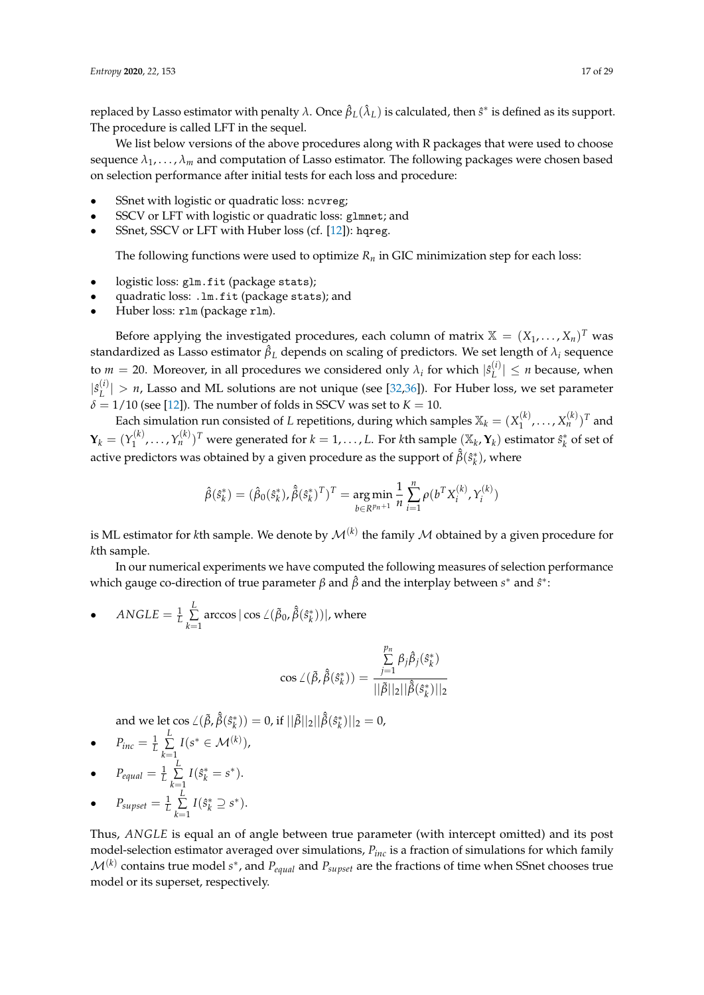replaced by Lasso estimator with penalty *λ*. Once *β*ˆ *<sup>L</sup>*(*λ*ˆ *<sup>L</sup>*) is calculated, then *s*ˆ ∗ is defined as its support. The procedure is called LFT in the sequel.

We list below versions of the above procedures along with R packages that were used to choose sequence  $\lambda_1, \ldots, \lambda_m$  and computation of Lasso estimator. The following packages were chosen based on selection performance after initial tests for each loss and procedure:

- SSnet with logistic or quadratic loss: ncvreg;
- SSCV or LFT with logistic or quadratic loss: glmnet; and
- SSnet, SSCV or LFT with Huber loss (cf. [\[12\]](#page-27-7)): hqreg.

The following functions were used to optimize  $R<sub>n</sub>$  in GIC minimization step for each loss:

- logistic loss: glm.fit (package stats);
- quadratic loss: .lm.fit (package stats); and
- Huber loss: rlm (package rlm).

Before applying the investigated procedures, each column of matrix  $\mathbb{X} = (X_1, \ldots, X_n)^T$  was standardized as Lasso estimator  $\hat{\beta}_L$  depends on scaling of predictors. We set length of  $\lambda_i$  sequence to  $m = 20$ . Moreover, in all procedures we considered only  $\lambda_i$  for which  $|\hat{s}_L^{(i)}|$  $|L^{(1)}| \leq n$  because, when  $|\hat{s}_L^{(i)}|$  $\vert L^{(1)} \vert > n$ , Lasso and ML solutions are not unique (see [\[32,](#page-27-26)[36\]](#page-28-2)). For Huber loss, we set parameter  $\delta = 1/10$  (see [\[12\]](#page-27-7)). The number of folds in SSCV was set to  $K = 10$ .

Each simulation run consisted of *L* repetitions, during which samples  $\mathbb{X}_k = (X_1^{(k)})^k$  $\mathbf{X}_1^{(k)}, \ldots, \mathbf{X}_n^{(k)}$ )<sup>T</sup> and  $\mathbf{Y}_k = (Y_1^{(k)}$  $Y_1^{(k)},\ldots,Y_n^{(k)})^T$  were generated for  $k=1,\ldots,L.$  For  $k$ th sample  $(\mathbb{X}_k,Y_k)$  estimator  $\hat{s}_k^*$  of set of active predictors was obtained by a given procedure as the support of  $\hat{\tilde{\beta}}(\hat{s}_k^*)$ , where

$$
\hat{\beta}(\hat{s}_k^*) = (\hat{\beta}_0(\hat{s}_k^*), \hat{\beta}(\hat{s}_k^*)^T)^T = \underset{b \in \mathbb{R}^{pn+1}}{\arg \min} \frac{1}{n} \sum_{i=1}^n \rho(b^T X_i^{(k)}, Y_i^{(k)})
$$

is ML estimator for *k*th sample. We denote by  $\mathcal{M}^{(k)}$  the family  $\mathcal M$  obtained by a given procedure for *k*th sample.

In our numerical experiments we have computed the following measures of selection performance which gauge co-direction of true parameter *β* and  $\hat{\beta}$  and the interplay between *s*<sup>\*</sup> and  $\hat{s}$ <sup>\*</sup>:

• 
$$
ANSLE = \frac{1}{L} \sum_{k=1}^{L} \arccos |\cos \angle(\tilde{\beta}_0, \hat{\tilde{\beta}}(\hat{s}_k^*))|, \text{ where}
$$

$$
\cos \angle(\tilde{\beta}, \hat{\tilde{\beta}}(\tilde{s}_k^*)) = \frac{\sum\limits_{j=1}^{p_n} \beta_j \hat{\beta}_j(\tilde{s}_k^*)}{\|\tilde{\beta}\|_2 \|\hat{\tilde{\beta}}(\tilde{s}_k^*)\|_2}
$$

 $p_{inc} = \frac{1}{I}\sum\limits_{l=1}^{L} I(s^* \in \mathcal{M}^{(k)}),$ <br>  $p_{inc} = \frac{1}{I}\sum\limits_{l=1}^{L} I(s^* \in \mathcal{M}^{(k)}),$ 

• 
$$
P_{inc} = \frac{1}{L} \sum_{k=1}^{L} I(s^* \in \mathcal{M}^{(k)}),
$$

• 
$$
P_{equal} = \frac{1}{L} \sum_{k=1}^{L} I(\hat{s}_k^* = s^*).
$$

 $\bullet$   $P_{\text{supset}} = \frac{1}{L}$ *L* ∑ *k*=1  $I(\hat{s}_k^* \supseteq s^*)$ .

Thus, *ANGLE* is equal an of angle between true parameter (with intercept omitted) and its post model-selection estimator averaged over simulations, *Pinc* is a fraction of simulations for which family  $\mathcal{M}^{(k)}$  contains true model  $s^*$ , and  $P_{equal}$  and  $P_{supset}$  are the fractions of time when SSnet chooses true model or its superset, respectively.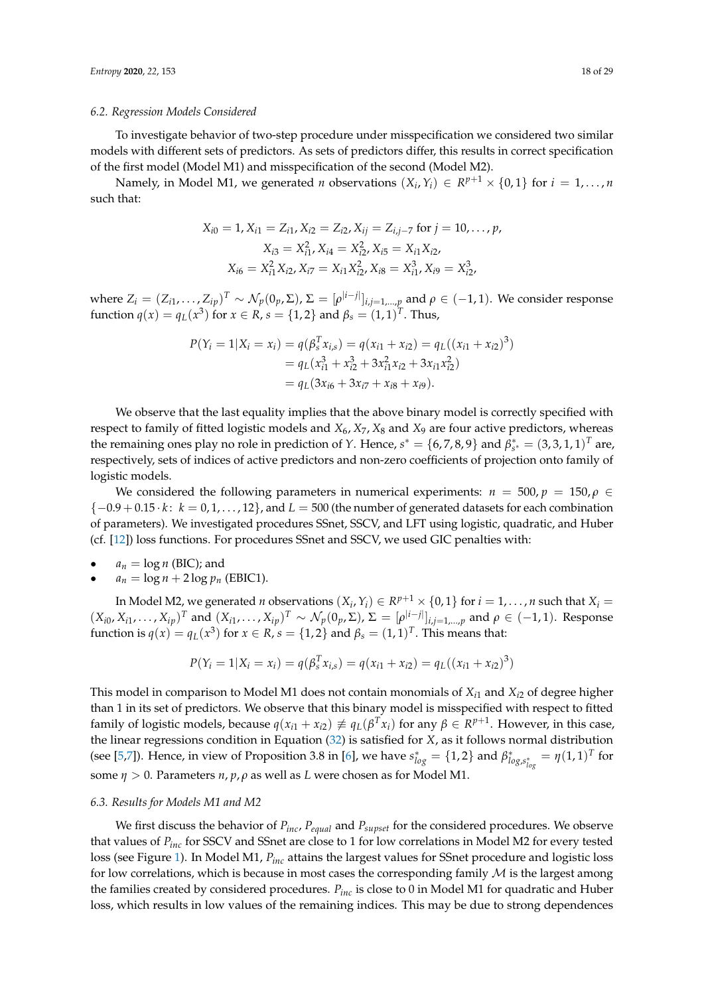#### *6.2. Regression Models Considered*

To investigate behavior of two-step procedure under misspecification we considered two similar models with different sets of predictors. As sets of predictors differ, this results in correct specification of the first model (Model M1) and misspecification of the second (Model M2).

Namely, in Model M1, we generated *n* observations  $(X_i, Y_i) \in R^{p+1} \times \{0,1\}$  for  $i = 1, ..., n$ such that:

$$
X_{i0} = 1, X_{i1} = Z_{i1}, X_{i2} = Z_{i2}, X_{ij} = Z_{i,j-7} \text{ for } j = 10, ..., p,
$$
  
\n
$$
X_{i3} = X_{i1}^2, X_{i4} = X_{i2}^2, X_{i5} = X_{i1}X_{i2},
$$
  
\n
$$
X_{i6} = X_{i1}^2 X_{i2}, X_{i7} = X_{i1}X_{i2}^2, X_{i8} = X_{i1}^3, X_{i9} = X_{i2}^3,
$$

where  $Z_i = (Z_{i1}, \ldots, Z_{ip})^T \sim \mathcal{N}_p(0_p, \Sigma)$ ,  $\Sigma = [\rho^{|i-j|}]_{i,j=1,\ldots,p}$  and  $\rho \in (-1,1)$ . We consider response function  $q(x) = q_L(x^3)$  for  $x \in R$ ,  $s = \{1, 2\}$  and  $\beta_s = (1, 1)^T$ . Thus,

$$
P(Y_i = 1 | X_i = x_i) = q(\beta_s^T x_{i,s}) = q(x_{i1} + x_{i2}) = q_L((x_{i1} + x_{i2})^3)
$$
  
=  $q_L(x_{i1}^3 + x_{i2}^3 + 3x_{i1}^2 x_{i2} + 3x_{i1}x_{i2}^2)$   
=  $q_L(3x_{i6} + 3x_{i7} + x_{i8} + x_{i9}).$ 

We observe that the last equality implies that the above binary model is correctly specified with respect to family of fitted logistic models and *X*6, *X*7, *X*<sup>8</sup> and *X*<sup>9</sup> are four active predictors, whereas the remaining ones play no role in prediction of *Y*. Hence,  $s^* = \{6,7,8,9\}$  and  $\beta_{s^*}^* = (3,3,1,1)^T$  are, respectively, sets of indices of active predictors and non-zero coefficients of projection onto family of logistic models.

We considered the following parameters in numerical experiments:  $n = 500, p = 150, \rho \in$ {−0.9 + 0.15 · *k* : *k* = 0, 1, . . . , 12}, and *L* = 500 (the number of generated datasets for each combination of parameters). We investigated procedures SSnet, SSCV, and LFT using logistic, quadratic, and Huber (cf. [\[12\]](#page-27-7)) loss functions. For procedures SSnet and SSCV, we used GIC penalties with:

 $a_n = \log n$  (BIC); and

•  $a_n = \log n + 2 \log p_n$  (EBIC1).

In Model M2, we generated *n* observations  $(X_i, Y_i) \in R^{p+1} \times \{0,1\}$  for  $i = 1, \ldots, n$  such that  $X_i =$  $(X_{i0}, X_{i1}, \ldots, X_{ip})^T$  and  $(X_{i1}, \ldots, X_{ip})^T \sim \mathcal{N}_p(0_p, \Sigma)$ ,  $\Sigma = [\rho^{|i-j|}]_{i,j=1,\ldots,p}$  and  $\rho \in (-1,1)$ . Response function is  $q(x) = q_L(x^3)$  for  $x \in R$ ,  $s = \{1,2\}$  and  $\beta_s = (1,1)^T$ . This means that:

$$
P(Y_i = 1 | X_i = x_i) = q(\beta_s^T x_{i,s}) = q(x_{i1} + x_{i2}) = q_L((x_{i1} + x_{i2})^3)
$$

This model in comparison to Model M1 does not contain monomials of *Xi*<sup>1</sup> and *Xi*<sup>2</sup> of degree higher than 1 in its set of predictors. We observe that this binary model is misspecified with respect to fitted family of logistic models, because  $q(x_{i1} + x_{i2}) \not\equiv q_L(\beta^T x_i)$  for any  $\beta \in R^{p+1}$ . However, in this case, the linear regressions condition in Equation [\(32\)](#page-14-3) is satisfied for *X*, as it follows normal distribution (see [\[5,](#page-27-0)[7\]](#page-27-2)). Hence, in view of Proposition 3.8 in [\[6\]](#page-27-1), we have  $s_{log}^* = \{1,2\}$  and  $\beta_{log,s_{log}^*}^* = \eta(1,1)^T$  for some *η* > 0. Parameters *n*, *p*, *ρ* as well as *L* were chosen as for Model M1.

#### *6.3. Results for Models M1 and M2*

We first discuss the behavior of *Pinc*, *Pequal* and *Psupset* for the considered procedures. We observe that values of *Pinc* for SSCV and SSnet are close to 1 for low correlations in Model M2 for every tested loss (see Figure [1\)](#page-18-0). In Model M1, *Pinc* attains the largest values for SSnet procedure and logistic loss for low correlations, which is because in most cases the corresponding family  $M$  is the largest among the families created by considered procedures. *Pinc* is close to 0 in Model M1 for quadratic and Huber loss, which results in low values of the remaining indices. This may be due to strong dependences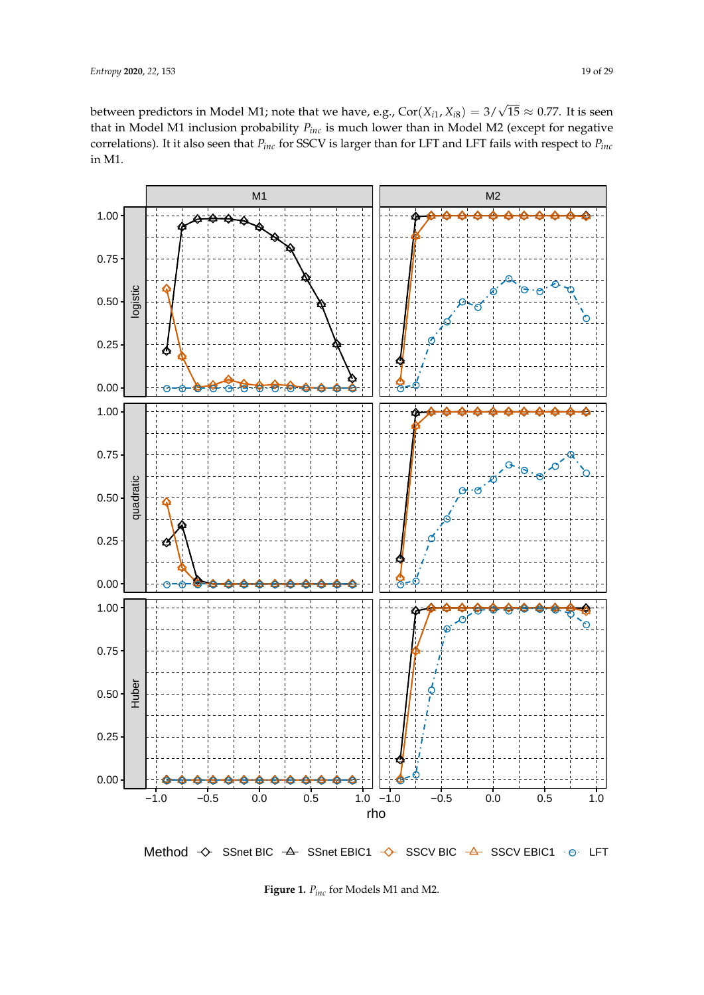between predictors in Model M1; note that we have, e.g., Cor(*Xi*<sup>1</sup> , *Xi*8) = 3/ √  $15 \approx 0.77$ . It is seen that in Model M1 inclusion probability *Pinc* is much lower than in Model M2 (except for negative correlations). It it also seen that *Pinc* for SSCV is larger than for LFT and LFT fails with respect to *Pinc* in M1.

<span id="page-18-0"></span>

Method → SSnet BIC → SSnet EBIC1 → SSCV BIC → SSCV EBIC1 + 
→ LFT

**Figure 1.** *Pinc* for Models M1 and M2.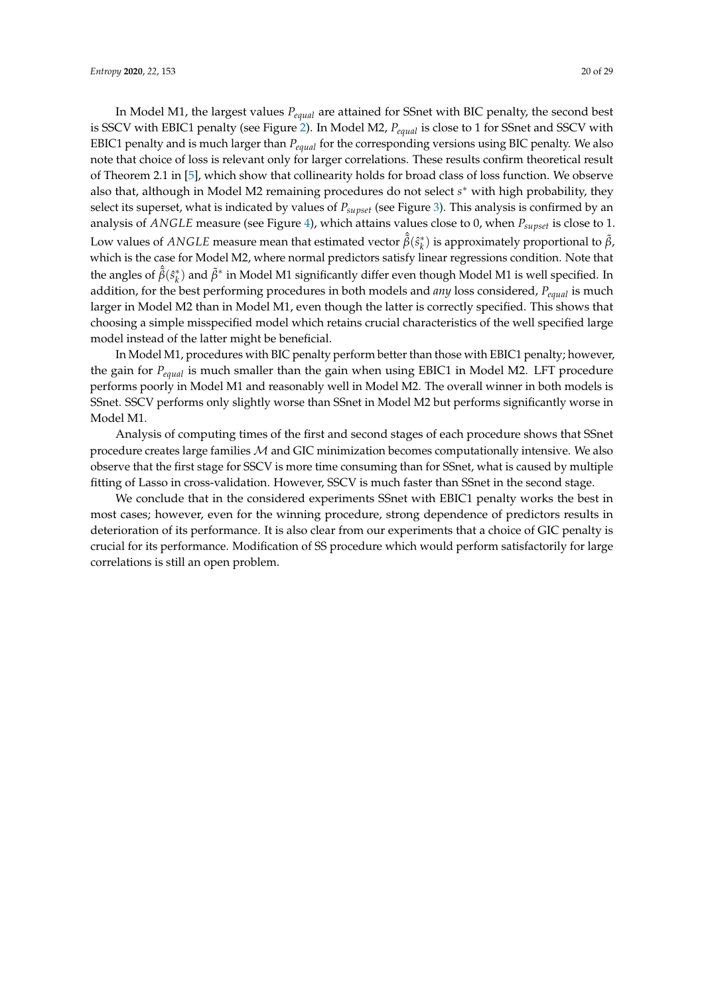In Model M1, the largest values *Pequal* are attained for SSnet with BIC penalty, the second best is SSCV with EBIC1 penalty (see Figure [2\)](#page-20-0). In Model M2, *Pequal* is close to 1 for SSnet and SSCV with EBIC1 penalty and is much larger than *Pequal* for the corresponding versions using BIC penalty. We also note that choice of loss is relevant only for larger correlations. These results confirm theoretical result of Theorem 2.1 in [\[5\]](#page-27-0), which show that collinearity holds for broad class of loss function. We observe also that, although in Model M2 remaining procedures do not select s<sup>\*</sup> with high probability, they select its superset, what is indicated by values of *Psupset* (see Figure [3\)](#page-21-0). This analysis is confirmed by an analysis of *ANGLE* measure (see Figure [4\)](#page-22-0), which attains values close to 0, when *Psupset* is close to 1. Low values of  $ANGLE$  measure mean that estimated vector  $\hat{\tilde{\beta}}(\hat{s}_k^*)$  is approximately proportional to  $\tilde{\beta}$ , which is the case for Model M2, where normal predictors satisfy linear regressions condition. Note that the angles of  $\hat{\beta}(\hat{s}_k^*)$  and  $\tilde{\beta}^*$  in Model M1 significantly differ even though Model M1 is well specified. In addition, for the best performing procedures in both models and *any* loss considered, *Pequal* is much larger in Model M2 than in Model M1, even though the latter is correctly specified. This shows that choosing a simple misspecified model which retains crucial characteristics of the well specified large model instead of the latter might be beneficial.

In Model M1, procedures with BIC penalty perform better than those with EBIC1 penalty; however, the gain for *Pequal* is much smaller than the gain when using EBIC1 in Model M2. LFT procedure performs poorly in Model M1 and reasonably well in Model M2. The overall winner in both models is SSnet. SSCV performs only slightly worse than SSnet in Model M2 but performs significantly worse in Model M1.

Analysis of computing times of the first and second stages of each procedure shows that SSnet procedure creates large families  $M$  and GIC minimization becomes computationally intensive. We also observe that the first stage for SSCV is more time consuming than for SSnet, what is caused by multiple fitting of Lasso in cross-validation. However, SSCV is much faster than SSnet in the second stage.

We conclude that in the considered experiments SSnet with EBIC1 penalty works the best in most cases; however, even for the winning procedure, strong dependence of predictors results in deterioration of its performance. It is also clear from our experiments that a choice of GIC penalty is crucial for its performance. Modification of SS procedure which would perform satisfactorily for large correlations is still an open problem.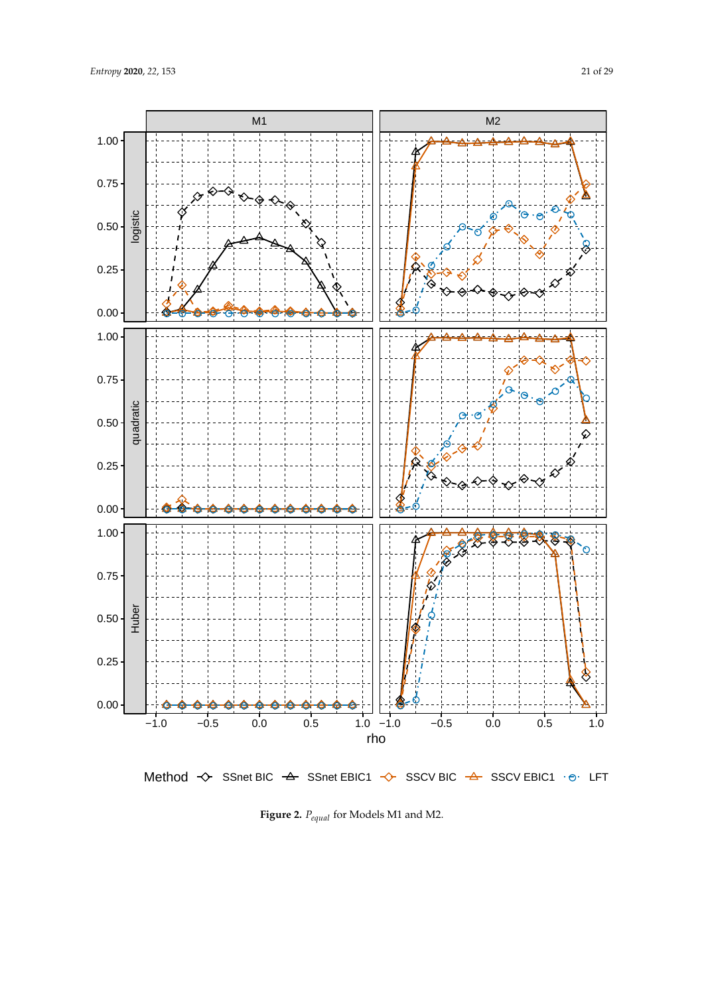<span id="page-20-0"></span>

Method  $\leftrightarrow$  SSnet BIC  $\leftrightarrow$  SSnet EBIC1  $\leftrightarrow$  SSCV BIC  $\leftrightarrow$  SSCV EBIC1  $\cdot \circ$  LFT

**Figure 2.** *Pequal* for Models M1 and M2.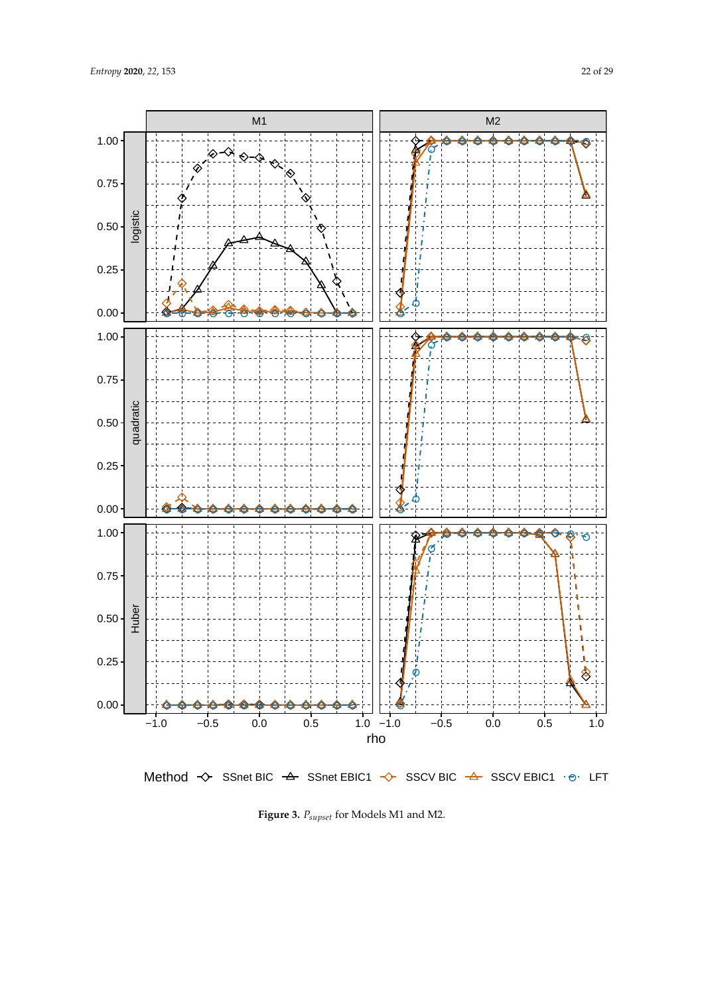'⊗≺শ

Ō

♢

0.75

<span id="page-21-0"></span>1.00

![](_page_21_Figure_1.jpeg)

![](_page_21_Figure_2.jpeg)

Method SSnet BIC SSnet EBIC1 SSCV BIC SSCV EBIC1 ● LFT

**Figure 3.** *Psupset* for Models M1 and M2.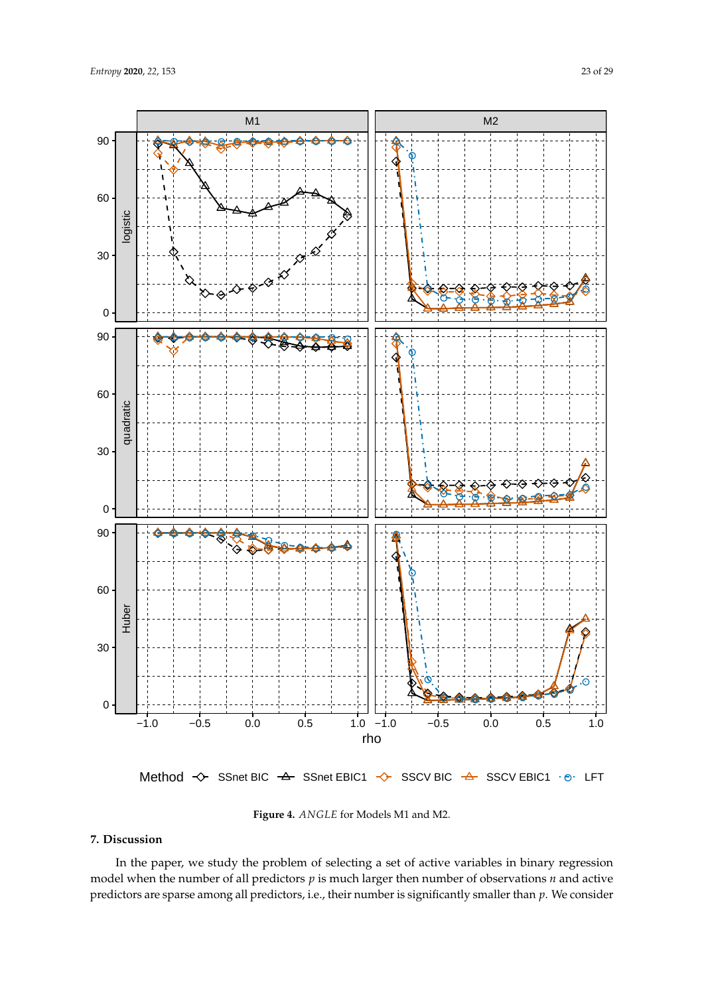<span id="page-22-0"></span>![](_page_22_Figure_2.jpeg)

Method  $\leftrightarrow$  SSnet BIC  $\leftrightarrow$  SSnet EBIC1  $\leftrightarrow$  SSCV BIC  $\leftrightarrow$  SSCV EBIC1  $\cdot \circ$  LFT

![](_page_22_Figure_4.jpeg)

# **7. Discussion**

In the paper, we study the problem of selecting a set of active variables in binary regression model when the number of all predictors *p* is much larger then number of observations *n* and active predictors are sparse among all predictors, i.e., their number is significantly smaller than *p*. We consider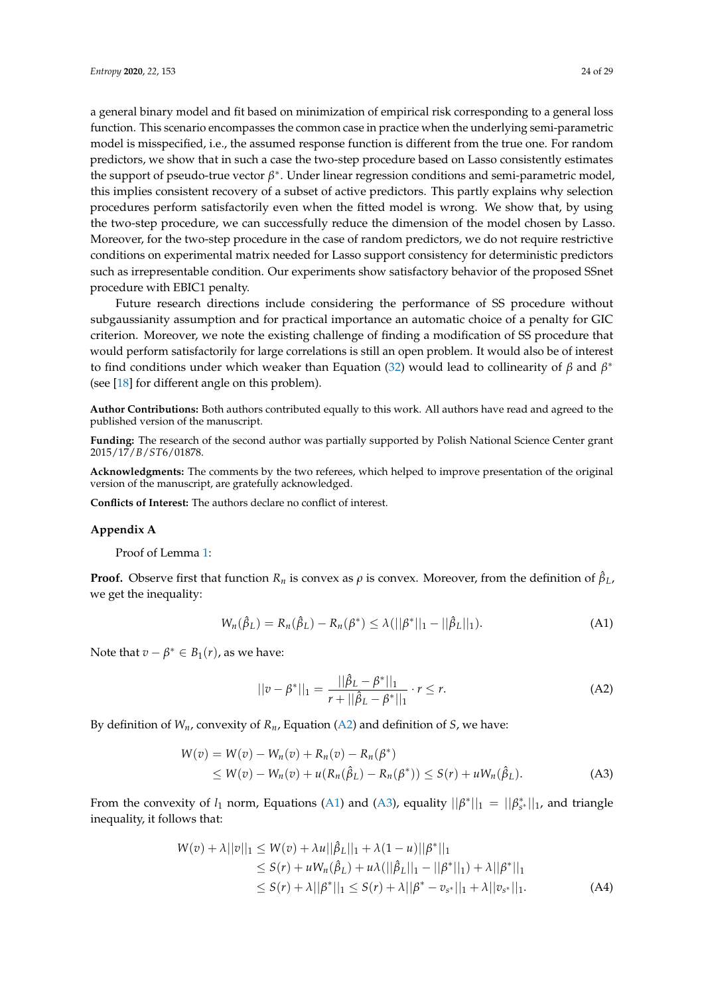a general binary model and fit based on minimization of empirical risk corresponding to a general loss function. This scenario encompasses the common case in practice when the underlying semi-parametric model is misspecified, i.e., the assumed response function is different from the true one. For random predictors, we show that in such a case the two-step procedure based on Lasso consistently estimates the support of pseudo-true vector  $β$ <sup>\*</sup>. Under linear regression conditions and semi-parametric model, this implies consistent recovery of a subset of active predictors. This partly explains why selection procedures perform satisfactorily even when the fitted model is wrong. We show that, by using the two-step procedure, we can successfully reduce the dimension of the model chosen by Lasso. Moreover, for the two-step procedure in the case of random predictors, we do not require restrictive conditions on experimental matrix needed for Lasso support consistency for deterministic predictors such as irrepresentable condition. Our experiments show satisfactory behavior of the proposed SSnet procedure with EBIC1 penalty.

Future research directions include considering the performance of SS procedure without subgaussianity assumption and for practical importance an automatic choice of a penalty for GIC criterion. Moreover, we note the existing challenge of finding a modification of SS procedure that would perform satisfactorily for large correlations is still an open problem. It would also be of interest to find conditions under which weaker than Equation [\(32\)](#page-14-3) would lead to collinearity of *β* and *β* ∗ (see [\[18\]](#page-27-13) for different angle on this problem).

**Author Contributions:** Both authors contributed equally to this work. All authors have read and agreed to the published version of the manuscript.

**Funding:** The research of the second author was partially supported by Polish National Science Center grant 2015/17/*B*/*ST*6/01878.

**Acknowledgments:** The comments by the two referees, which helped to improve presentation of the original version of the manuscript, are gratefully acknowledged.

**Conflicts of Interest:** The authors declare no conflict of interest.

#### <span id="page-23-0"></span>**Appendix A**

Proof of Lemma [1:](#page-7-2)

**Proof.** Observe first that function  $R_n$  is convex as  $\rho$  is convex. Moreover, from the definition of  $\hat{\beta}_L$ , we get the inequality:

<span id="page-23-2"></span>
$$
W_n(\hat{\beta}_L) = R_n(\hat{\beta}_L) - R_n(\beta^*) \le \lambda (||\beta^*||_1 - ||\hat{\beta}_L||_1).
$$
 (A1)

Note that  $v - \beta^* \in B_1(r)$ , as we have:

<span id="page-23-3"></span><span id="page-23-1"></span>
$$
||v - \beta^*||_1 = \frac{||\hat{\beta}_L - \beta^*||_1}{r + ||\hat{\beta}_L - \beta^*||_1} \cdot r \le r.
$$
 (A2)

By definition of  $W_n$ , convexity of  $R_n$ , Equation [\(A2\)](#page-23-1) and definition of *S*, we have:

$$
W(v) = W(v) - W_n(v) + R_n(v) - R_n(\beta^*)
$$
  
\$\leq W(v) - W\_n(v) + u(R\_n(\hat{\beta}\_L) - R\_n(\beta^\*)) \leq S(r) + uW\_n(\hat{\beta}\_L).\$ (A3)

From the convexity of  $l_1$  norm, Equations [\(A1\)](#page-23-2) and [\(A3\)](#page-23-3), equality  $||\beta^*||_1 = ||\beta^*_{s^*}||_1$ , and triangle inequality, it follows that:

$$
W(v) + \lambda ||v||_1 \le W(v) + \lambda u ||\hat{\beta}_L||_1 + \lambda (1 - u)||\beta^*||_1
$$
  
\n
$$
\le S(r) + uW_n(\hat{\beta}_L) + u\lambda (||\hat{\beta}_L||_1 - ||\beta^*||_1) + \lambda ||\beta^*||_1
$$
  
\n
$$
\le S(r) + \lambda ||\beta^*||_1 \le S(r) + \lambda ||\beta^* - v_{s^*}||_1 + \lambda ||v_{s^*}||_1.
$$
 (A4)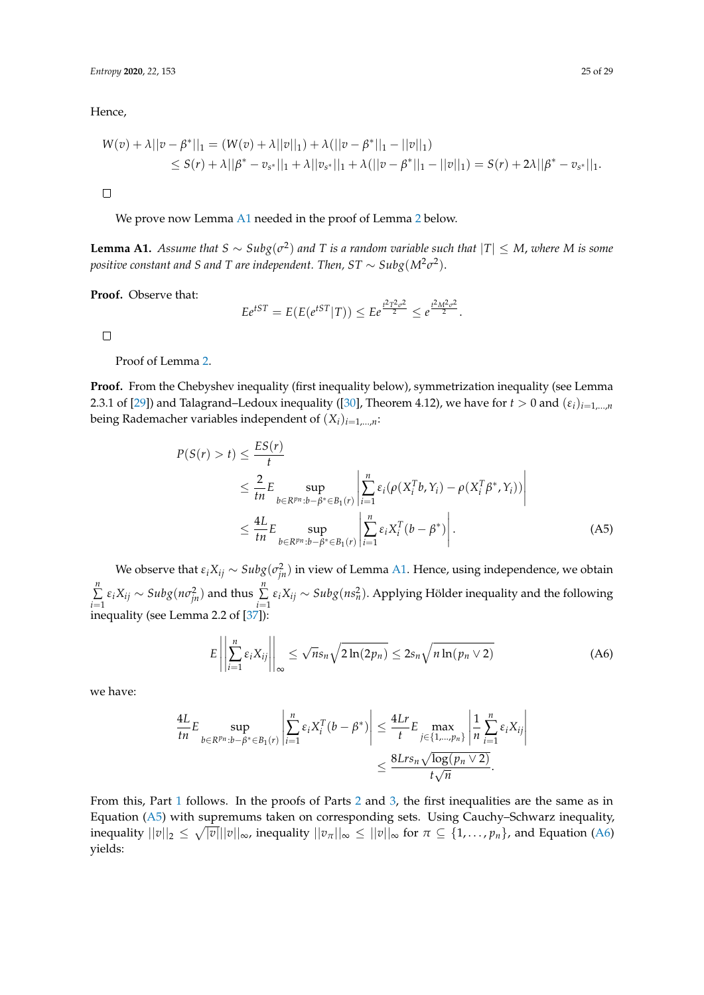Hence,

$$
W(v) + \lambda ||v - \beta^*||_1 = (W(v) + \lambda ||v||_1) + \lambda (||v - \beta^*||_1 - ||v||_1)
$$
  
\n
$$
\leq S(r) + \lambda ||\beta^* - v_{s^*}||_1 + \lambda ||v_{s^*}||_1 + \lambda (||v - \beta^*||_1 - ||v||_1) = S(r) + 2\lambda ||\beta^* - v_{s^*}||_1.
$$

 $\Box$ 

We prove now Lemma [A1](#page-24-0) needed in the proof of Lemma [2](#page-7-0) below.

<span id="page-24-0"></span>**Lemma A1.** Assume that  $S \sim Subg(\sigma^2)$  and T is a random variable such that  $|T| \leq M$ , where M is some *positive constant and S and T are independent. Then, ST*  $\sim$  *Subg* $(M^2\sigma^2).$ 

**Proof.** Observe that:

$$
Ee^{tST} = E(E(e^{tST}|T)) \le Ee^{\frac{t^2T^2\sigma^2}{2}} \le e^{\frac{t^2M^2\sigma^2}{2}}.
$$

 $\Box$ 

Proof of Lemma [2.](#page-7-0)

**Proof.** From the Chebyshev inequality (first inequality below), symmetrization inequality (see Lemma 2.3.1 of [\[29\]](#page-27-23)) and Talagrand–Ledoux inequality ([\[30\]](#page-27-24), Theorem 4.12), we have for  $t > 0$  and  $(\varepsilon_i)_{i=1,...,n}$ being Rademacher variables independent of  $(X_i)_{i=1,\dots,n}$ :

$$
P(S(r) > t) \le \frac{ES(r)}{t}
$$
  
\n
$$
\le \frac{2}{tn} E \sup_{b \in R^{pn}: b - \beta^* \in B_1(r)} \left| \sum_{i=1}^n \varepsilon_i (\rho(X_i^T b, Y_i) - \rho(X_i^T \beta^*, Y_i)) \right|
$$
  
\n
$$
\le \frac{4L}{tn} E \sup_{b \in R^{pn}: b - \beta^* \in B_1(r)} \left| \sum_{i=1}^n \varepsilon_i X_i^T (b - \beta^*) \right|.
$$
 (A5)

We observe that  $\varepsilon_i X_{ij} \sim Subg(\sigma_{jn}^2)$  in view of Lemma [A1.](#page-24-0) Hence, using independence, we obtain *n* ∑  $\sum_{i=1}^{n} \varepsilon_i X_{ij} \sim Subg(n\sigma_{jn}^2)$  and thus  $\sum_{i=1}^{n}$  $\sum\limits_{i=1}^{\infty} \varepsilon_i X_{ij} \sim Subg(ns_n^2)$ . Applying Hölder inequality and the following inequality (see Lemma 2.2 of [\[37\]](#page-28-3)):

<span id="page-24-2"></span><span id="page-24-1"></span>
$$
E\left\|\sum_{i=1}^{n}\varepsilon_{i}X_{ij}\right\|_{\infty}\leq\sqrt{n}s_{n}\sqrt{2\ln(2p_{n})}\leq2s_{n}\sqrt{n\ln(p_{n}\vee2)}\tag{A6}
$$

we have:

$$
\frac{4L}{tn}E \sup_{b \in R^{pn}: b - \beta^* \in B_1(r)} \left| \sum_{i=1}^n \varepsilon_i X_i^T (b - \beta^*) \right| \leq \frac{4Lr}{t} E \max_{j \in \{1, \dots, p_n\}} \left| \frac{1}{n} \sum_{i=1}^n \varepsilon_i X_{ij} \right|
$$

$$
\leq \frac{8Lrs_n \sqrt{\log(p_n \vee 2)}}{t \sqrt{n}}.
$$

From this, Part [1](#page-7-3) follows. In the proofs of Parts [2](#page-7-4) and [3,](#page-7-5) the first inequalities are the same as in Equation [\(A5\)](#page-24-1) with supremums taken on corresponding sets. Using Cauchy–Schwarz inequality, inequality  $||v||_2 \le \sqrt{|v|} ||v||_{\infty}$ , inequality  $||v_\pi||_\infty \le ||v||_\infty$  for  $\pi \subseteq \{1,\ldots,p_n\}$ , and Equation [\(A6\)](#page-24-2) yields: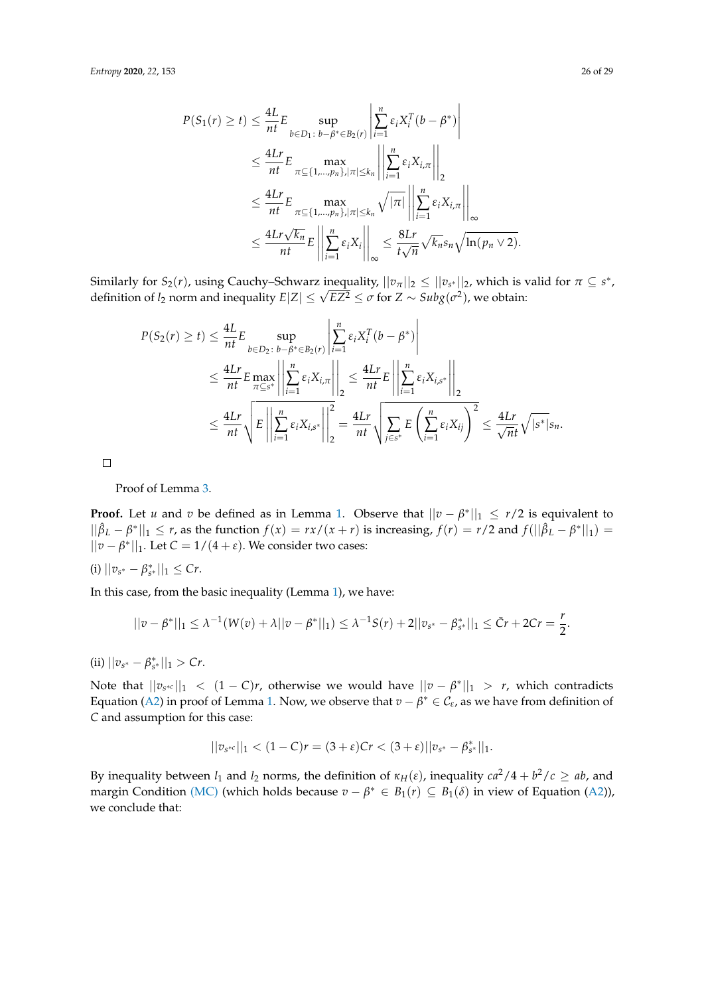$$
P(S_1(r) \ge t) \le \frac{4L}{nt} E \sup_{b \in D_1 \colon b - \beta^* \in B_2(r)} \left| \sum_{i=1}^n \varepsilon_i X_i^T (b - \beta^*) \right|
$$
  
\n
$$
\le \frac{4Lr}{nt} E \max_{\pi \subseteq \{1, \dots, p_n\}, |\pi| \le k_n} \left| \left| \sum_{i=1}^n \varepsilon_i X_{i,\pi} \right| \right|_2
$$
  
\n
$$
\le \frac{4Lr}{nt} E \max_{\pi \subseteq \{1, \dots, p_n\}, |\pi| \le k_n} \sqrt{|\pi|} \left| \left| \sum_{i=1}^n \varepsilon_i X_{i,\pi} \right| \right|_{\infty}
$$
  
\n
$$
\le \frac{4Lr\sqrt{k_n}}{nt} E \left| \left| \sum_{i=1}^n \varepsilon_i X_i \right| \right|_{\infty} \le \frac{8Lr}{t\sqrt{n}} \sqrt{k_n} s_n \sqrt{\ln(p_n \vee 2)}.
$$

Similarly for  $S_2(r)$ , using Cauchy–Schwarz inequality,  $||v_\pi||_2 \le ||v_{s^*}||_2$ , which is valid for  $\pi \subseteq s^*$ ,  $\Delta$  *Simuariy for*  $s_2(r)$ *, using Cauchy–Schwarz inequality,*  $||v_{\pi}||_2 \le ||v_{s^*}||_2$ , which is vertically  $E|Z| \le \sqrt{EZ^2} \le \sigma$  for  $Z \sim Subg(\sigma^2)$ , we obtain:

$$
P(S_2(r) \ge t) \le \frac{4L}{nt} E \sup_{b \in D_2 \,:\, b - \beta^* \in B_2(r)} \left| \sum_{i=1}^n \varepsilon_i X_i^T (b - \beta^*) \right|
$$
  

$$
\le \frac{4Lr}{nt} E \max_{\pi \subseteq s^*} \left| \left| \sum_{i=1}^n \varepsilon_i X_{i,\pi} \right| \right|_2 \le \frac{4Lr}{nt} E \left| \left| \sum_{i=1}^n \varepsilon_i X_{i,s^*} \right| \right|_2
$$
  

$$
\le \frac{4Lr}{nt} \sqrt{E \left| \left| \sum_{i=1}^n \varepsilon_i X_{i,s^*} \right| \right|_2^2} = \frac{4Lr}{nt} \sqrt{\sum_{j \in s^*} E \left( \sum_{i=1}^n \varepsilon_i X_{ij} \right)^2} \le \frac{4Lr}{\sqrt{nt}} \sqrt{|s^*|} s_n.
$$

 $\Box$ 

Proof of Lemma [3.](#page-8-1)

**Proof.** Let *u* and *v* be defined as in Lemma [1.](#page-7-2) Observe that  $||v - \beta^*||_1 \le r/2$  is equivalent to  $||\hat{\beta}_L - \beta^*||_1$  ≤ *r*, as the function  $f(x) = rx/(x+r)$  is increasing,  $f(r) = r/2$  and  $f(||\hat{\beta}_L - \beta^*||_1)$  =  $||v - \beta^*||_1$ . Let  $C = 1/(4 + \varepsilon)$ . We consider two cases:

 $(|i)| |v_{s^*} - \beta_{s^*}^*||_1 \leq Cr.$ 

In this case, from the basic inequality (Lemma [1\)](#page-7-2), we have:

$$
||v - \beta^*||_1 \leq \lambda^{-1}(W(v) + \lambda ||v - \beta^*||_1) \leq \lambda^{-1}S(r) + 2||v_{s^*} - \beta^*_{s^*}||_1 \leq \bar{C}r + 2Cr = \frac{r}{2}.
$$

 $(iii)$   $||v_{s^*} - \beta_{s^*}^*||_1 > Cr.$ 

Note that  $||v_{s^{*c}}||_1 < (1 - C)r$ , otherwise we would have  $||v - \beta^*||_1 > r$ , which contradicts Equation [\(A2\)](#page-23-1) in proof of Lemma [1.](#page-7-2) Now, we observe that  $v - \beta^* \in C_{\epsilon}$ , as we have from definition of *C* and assumption for this case:

$$
||v_{s^{*c}}||_1 < (1-C)r = (3+\varepsilon)Cr < (3+\varepsilon)||v_{s^*} - \beta_{s^*}^*||_1.
$$

By inequality between  $l_1$  and  $l_2$  norms, the definition of  $\kappa_H(\varepsilon)$ , inequality  $ca^2/4 + b^2/c \ge ab$ , and margin Condition [\(MC\)](#page-5-1) (which holds because  $v - \beta^* \in B_1(r) \subseteq B_1(\delta)$  in view of Equation [\(A2\)](#page-23-1)), we conclude that: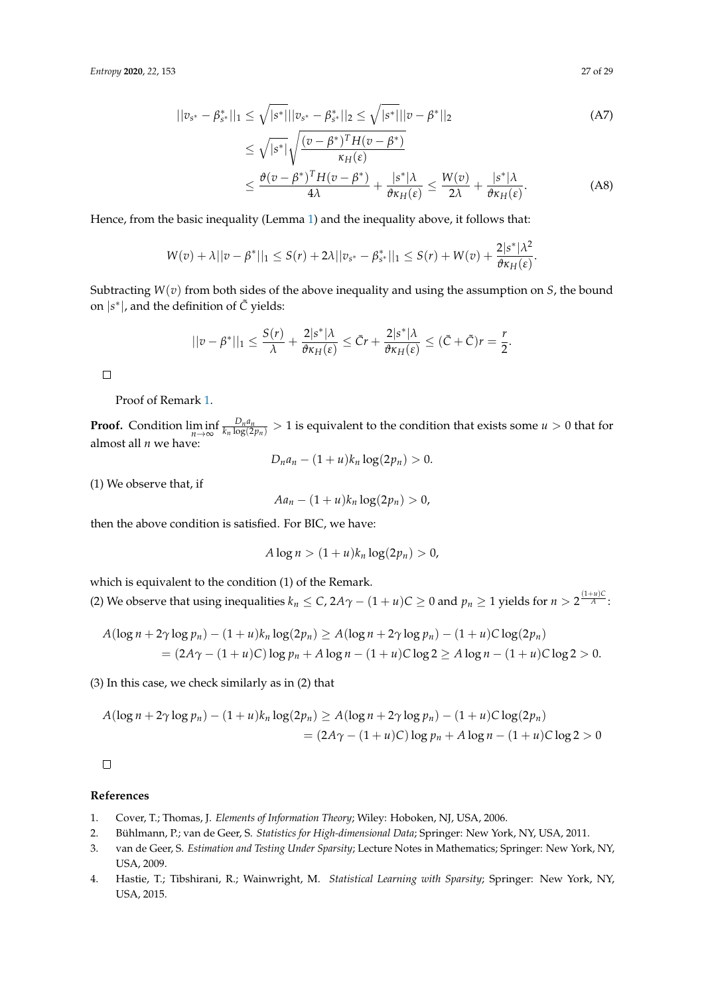$$
||v_{s^*} - \beta_{s^*}^*||_1 \le \sqrt{|s^*|}||v_{s^*} - \beta_{s^*}^*||_2 \le \sqrt{|s^*|}||v - \beta^*||_2
$$
 (A7)

$$
\leq \sqrt{|s^*|} \sqrt{\frac{(v - \beta^*)^T H (v - \beta^*)}{\kappa_H(\varepsilon)}}
$$
\n
$$
\leq \frac{\vartheta (v - \beta^*)^T H (v - \beta^*)}{4\lambda} + \frac{|s^*| \lambda}{\vartheta \kappa_H(\varepsilon)} \leq \frac{W(v)}{2\lambda} + \frac{|s^*| \lambda}{\vartheta \kappa_H(\varepsilon)}.
$$
\n(A8)

Hence, from the basic inequality (Lemma [1\)](#page-7-2) and the inequality above, it follows that:

$$
W(v) + \lambda ||v - \beta^*||_1 \leq S(r) + 2\lambda ||v_{s^*} - \beta^*_{s^*}||_1 \leq S(r) + W(v) + \frac{2|s^*|}{\theta \kappa_H(\varepsilon)}.
$$

Subtracting *W*(*v*) from both sides of the above inequality and using the assumption on *S*, the bound on |*s* ∗ |, and the definition of *C*˜ yields:

$$
||v - \beta^*||_1 \leq \frac{S(r)}{\lambda} + \frac{2|s^*|\lambda}{\vartheta \kappa_H(\varepsilon)} \leq \bar{C}r + \frac{2|s^*|\lambda}{\vartheta \kappa_H(\varepsilon)} \leq (\bar{C} + \tilde{C})r = \frac{r}{2}.
$$

 $\Box$ 

Proof of Remark [1.](#page-11-2)

**Proof.** Condition  $\liminf_{n\to\infty}$  $\frac{D_na_n}{k_n\log(2p_n)}>1$  is equivalent to the condition that exists some  $u>0$  that for almost all *n* we have:

 $D_n a_n - (1 + u)k_n \log(2p_n) > 0.$ 

(1) We observe that, if

$$
Aa_n-(1+u)k_n\log(2p_n)>0,
$$

then the above condition is satisfied. For BIC, we have:

$$
A\log n > (1+u)k_n\log(2p_n) > 0,
$$

which is equivalent to the condition (1) of the Remark.

(2) We observe that using inequalities  $k_n \leq C$ ,  $2A\gamma - (1 + u)C \geq 0$  and  $p_n \geq 1$  yields for  $n > 2^{\frac{(1+u)C}{A}}$ :

$$
A(\log n + 2\gamma \log p_n) - (1 + u)k_n \log(2p_n) \ge A(\log n + 2\gamma \log p_n) - (1 + u)C \log(2p_n)
$$
  
=  $(2A\gamma - (1 + u)C) \log p_n + A \log n - (1 + u)C \log 2 \ge A \log n - (1 + u)C \log 2 > 0.$ 

(3) In this case, we check similarly as in (2) that

$$
A(\log n + 2\gamma \log p_n) - (1 + u)k_n \log(2p_n) \ge A(\log n + 2\gamma \log p_n) - (1 + u)C \log(2p_n)
$$
  
=  $(2A\gamma - (1 + u)C) \log p_n + A \log n - (1 + u)C \log 2 > 0$ 

 $\Box$ 

### **References**

- <span id="page-26-0"></span>1. Cover, T.; Thomas, J. *Elements of Information Theory*; Wiley: Hoboken, NJ, USA, 2006.
- <span id="page-26-1"></span>2. Bühlmann, P.; van de Geer, S. *Statistics for High-dimensional Data*; Springer: New York, NY, USA, 2011.
- 3. van de Geer, S. *Estimation and Testing Under Sparsity*; Lecture Notes in Mathematics; Springer: New York, NY, USA, 2009.
- <span id="page-26-2"></span>4. Hastie, T.; Tibshirani, R.; Wainwright, M. *Statistical Learning with Sparsity*; Springer: New York, NY, USA, 2015.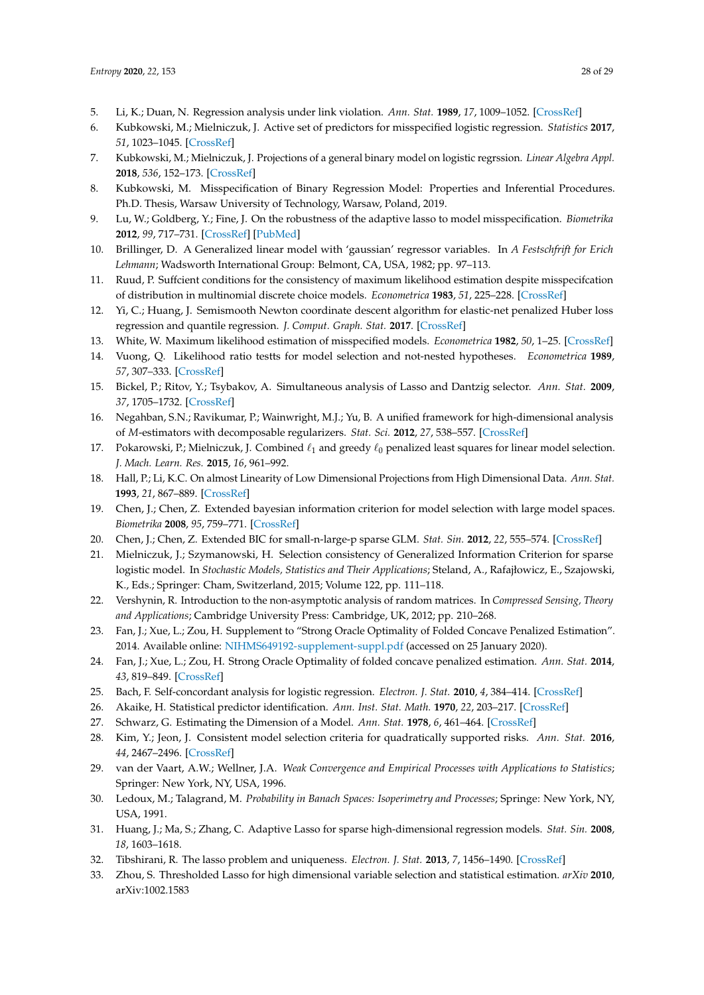- <span id="page-27-0"></span>5. Li, K.; Duan, N. Regression analysis under link violation. *Ann. Stat.* **1989**, *17*, 1009–1052. [\[CrossRef\]](http://dx.doi.org/10.1214/aos/1176347254)
- <span id="page-27-1"></span>6. Kubkowski, M.; Mielniczuk, J. Active set of predictors for misspecified logistic regression. *Statistics* **2017**, *51*, 1023–1045. [\[CrossRef\]](http://dx.doi.org/10.1080/02331888.2017.1290096)
- <span id="page-27-2"></span>7. Kubkowski, M.; Mielniczuk, J. Projections of a general binary model on logistic regrssion. *Linear Algebra Appl.* **2018**, *536*, 152–173. [\[CrossRef\]](http://dx.doi.org/10.1016/j.laa.2017.09.013)
- <span id="page-27-3"></span>8. Kubkowski, M. Misspecification of Binary Regression Model: Properties and Inferential Procedures. Ph.D. Thesis, Warsaw University of Technology, Warsaw, Poland, 2019.
- <span id="page-27-4"></span>9. Lu, W.; Goldberg, Y.; Fine, J. On the robustness of the adaptive lasso to model misspecification. *Biometrika* **2012**, *99*, 717–731. [\[CrossRef\]](http://dx.doi.org/10.1093/biomet/ass027) [\[PubMed\]](http://www.ncbi.nlm.nih.gov/pubmed/25294946)
- <span id="page-27-5"></span>10. Brillinger, D. A Generalized linear model with 'gaussian' regressor variables. In *A Festschfrift for Erich Lehmann*; Wadsworth International Group: Belmont, CA, USA, 1982; pp. 97–113.
- <span id="page-27-6"></span>11. Ruud, P. Suffcient conditions for the consistency of maximum likelihood estimation despite misspecifcation of distribution in multinomial discrete choice models. *Econometrica* **1983**, *51*, 225–228. [\[CrossRef\]](http://dx.doi.org/10.2307/1912257)
- <span id="page-27-7"></span>12. Yi, C.; Huang, J. Semismooth Newton coordinate descent algorithm for elastic-net penalized Huber loss regression and quantile regression. *J. Comput. Graph. Stat.* **2017**. [\[CrossRef\]](http://dx.doi.org/10.1080/10618600.2016.1256816)
- <span id="page-27-8"></span>13. White, W. Maximum likelihood estimation of misspecified models. *Econometrica* **1982**, *50*, 1–25. [\[CrossRef\]](http://dx.doi.org/10.2307/1912526)
- <span id="page-27-9"></span>14. Vuong, Q. Likelihood ratio testts for model selection and not-nested hypotheses. *Econometrica* **1989**, *57*, 307–333. [\[CrossRef\]](http://dx.doi.org/10.2307/1912557)
- <span id="page-27-10"></span>15. Bickel, P.; Ritov, Y.; Tsybakov, A. Simultaneous analysis of Lasso and Dantzig selector. *Ann. Stat.* **2009**, *37*, 1705–1732. [\[CrossRef\]](http://dx.doi.org/10.1214/08-AOS620)
- <span id="page-27-11"></span>16. Negahban, S.N.; Ravikumar, P.; Wainwright, M.J.; Yu, B. A unified framework for high-dimensional analysis of *M*-estimators with decomposable regularizers. *Stat. Sci.* **2012**, *27*, 538–557. [\[CrossRef\]](http://dx.doi.org/10.1214/12-STS400)
- <span id="page-27-12"></span>17. Pokarowski, P.; Mielniczuk, J. Combined  $\ell_1$  and greedy  $\ell_0$  penalized least squares for linear model selection. *J. Mach. Learn. Res.* **2015**, *16*, 961–992.
- <span id="page-27-13"></span>18. Hall, P.; Li, K.C. On almost Linearity of Low Dimensional Projections from High Dimensional Data. *Ann. Stat.* **1993**, *21*, 867–889. [\[CrossRef\]](http://dx.doi.org/10.1214/aos/1176349155)
- <span id="page-27-14"></span>19. Chen, J.; Chen, Z. Extended bayesian information criterion for model selection with large model spaces. *Biometrika* **2008**, *95*, 759–771. [\[CrossRef\]](http://dx.doi.org/10.1093/biomet/asn034)
- <span id="page-27-16"></span><span id="page-27-15"></span>20. Chen, J.; Chen, Z. Extended BIC for small-n-large-p sparse GLM. *Stat. Sin.* **2012**, *22*, 555–574. [\[CrossRef\]](http://dx.doi.org/10.5705/ss.2010.216)
- 21. Mielniczuk, J.; Szymanowski, H. Selection consistency of Generalized Information Criterion for sparse logistic model. In *Stochastic Models, Statistics and Their Applications*; Steland, A., Rafajłowicz, E., Szajowski, K., Eds.; Springer: Cham, Switzerland, 2015; Volume 122, pp. 111–118.
- <span id="page-27-17"></span>22. Vershynin, R. Introduction to the non-asymptotic analysis of random matrices. In *Compressed Sensing, Theory and Applications*; Cambridge University Press: Cambridge, UK, 2012; pp. 210–268.
- <span id="page-27-18"></span>23. Fan, J.; Xue, L.; Zou, H. Supplement to "Strong Oracle Optimality of Folded Concave Penalized Estimation". 2014. Available online: <NIHMS649192-supplement-suppl.pdf> (accessed on 25 January 2020).
- 24. Fan, J.; Xue, L.; Zou, H. Strong Oracle Optimality of folded concave penalized estimation. *Ann. Stat.* **2014**, *43*, 819–849. [\[CrossRef\]](http://dx.doi.org/10.1214/13-AOS1198)
- <span id="page-27-19"></span>25. Bach, F. Self-concordant analysis for logistic regression. *Electron. J. Stat.* **2010**, *4*, 384–414. [\[CrossRef\]](http://dx.doi.org/10.1214/09-EJS521)
- <span id="page-27-20"></span>26. Akaike, H. Statistical predictor identification. *Ann. Inst. Stat. Math.* **1970**, *22*, 203–217. [\[CrossRef\]](http://dx.doi.org/10.1007/BF02506337)
- <span id="page-27-21"></span>27. Schwarz, G. Estimating the Dimension of a Model. *Ann. Stat.* **1978**, *6*, 461–464. [\[CrossRef\]](http://dx.doi.org/10.1214/aos/1176344136)
- <span id="page-27-22"></span>28. Kim, Y.; Jeon, J. Consistent model selection criteria for quadratically supported risks. *Ann. Stat.* **2016**, *44*, 2467–2496. [\[CrossRef\]](http://dx.doi.org/10.1214/15-AOS1413)
- <span id="page-27-23"></span>29. van der Vaart, A.W.; Wellner, J.A. *Weak Convergence and Empirical Processes with Applications to Statistics*; Springer: New York, NY, USA, 1996.
- <span id="page-27-24"></span>30. Ledoux, M.; Talagrand, M. *Probability in Banach Spaces: Isoperimetry and Processes*; Springe: New York, NY, USA, 1991.
- <span id="page-27-25"></span>31. Huang, J.; Ma, S.; Zhang, C. Adaptive Lasso for sparse high-dimensional regression models. *Stat. Sin.* **2008**, *18*, 1603–1618.
- <span id="page-27-26"></span>32. Tibshirani, R. The lasso problem and uniqueness. *Electron. J. Stat.* **2013**, *7*, 1456–1490. [\[CrossRef\]](http://dx.doi.org/10.1214/13-EJS815)
- <span id="page-27-27"></span>33. Zhou, S. Thresholded Lasso for high dimensional variable selection and statistical estimation. *arXiv* **2010**, arXiv:1002.1583